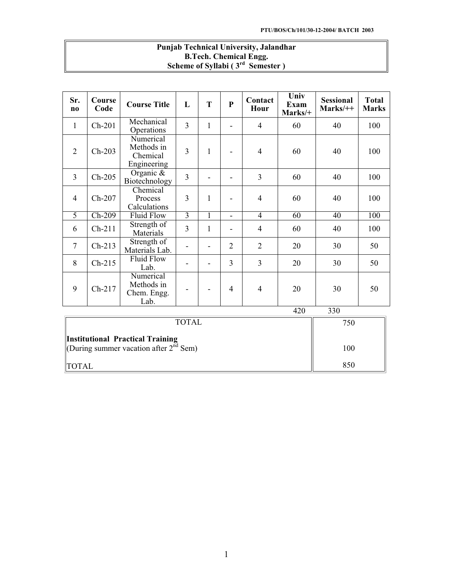| <b>Punjab Technical University, Jalandhar</b> |  |
|-----------------------------------------------|--|
| <b>B.Tech. Chemical Engg.</b>                 |  |
| Scheme of Syllabi ( $3rd$ Semester)           |  |

| Sr.<br>$\mathbf{n}$ | Course<br>Code      | <b>Course Title</b>                                | L              | T                        | $\mathbf{P}$   | Contact<br>Hour | Univ<br>Exam<br>Marks/+ | <b>Sessional</b><br>$Marks/+$ | <b>Total</b><br><b>Marks</b> |  |
|---------------------|---------------------|----------------------------------------------------|----------------|--------------------------|----------------|-----------------|-------------------------|-------------------------------|------------------------------|--|
| $\mathbf{1}$        | $Ch-201$            | Mechanical<br>Operations                           | 3              | $\mathbf{1}$             |                | $\overline{4}$  | 60                      | 40                            | 100                          |  |
| $\overline{2}$      | $Ch-203$            | Numerical<br>Methods in<br>Chemical<br>Engineering | $\overline{3}$ | $\mathbf{1}$             |                | $\overline{4}$  | 60                      | 40                            | 100                          |  |
| $\overline{3}$      | $Ch-205$            | Organic $\&$<br>Biotechnology                      | $\overline{3}$ |                          |                | 3               | 60                      | 40                            | 100                          |  |
| $\overline{4}$      | $Ch-207$            | Chemical<br>Process<br>Calculations                | 3              | 1                        |                | $\overline{4}$  | 60                      | 40                            | 100                          |  |
| 5                   | $Ch-209$            | <b>Fluid Flow</b>                                  | $\overline{3}$ | $\mathbf{1}$             |                | $\overline{4}$  | $\overline{60}$         | 40                            | 100                          |  |
| 6                   | $Ch-211$            | Strength of<br>Materials                           | 3              | $\mathbf{1}$             |                | $\overline{4}$  | 60                      | 40                            | 100                          |  |
| $\overline{7}$      | $Ch-213$            | Strength of<br>Materials Lab.                      |                | $\overline{\phantom{0}}$ | $\overline{2}$ | $\overline{2}$  | 20                      | 30                            | 50                           |  |
| 8                   | $Ch-215$            | <b>Fluid Flow</b><br>Lab.                          |                |                          | 3              | 3               | 20                      | 30                            | 50                           |  |
| 9                   | $Ch-217$            | Numerical<br>Methods in<br>Chem. Engg.<br>Lab.     |                |                          | $\overline{4}$ | $\overline{4}$  | 20                      | 30                            | 50                           |  |
|                     | 330<br>420          |                                                    |                |                          |                |                 |                         |                               |                              |  |
|                     | <b>TOTAL</b><br>750 |                                                    |                |                          |                |                 |                         |                               |                              |  |

| <b>TOTAL</b>                                                                               | 750 |
|--------------------------------------------------------------------------------------------|-----|
| Institutional Practical Training<br>(During summer vacation after $2^{\overline{nd}}$ Sem) | 100 |
| <b>ITOTAL</b>                                                                              | 850 |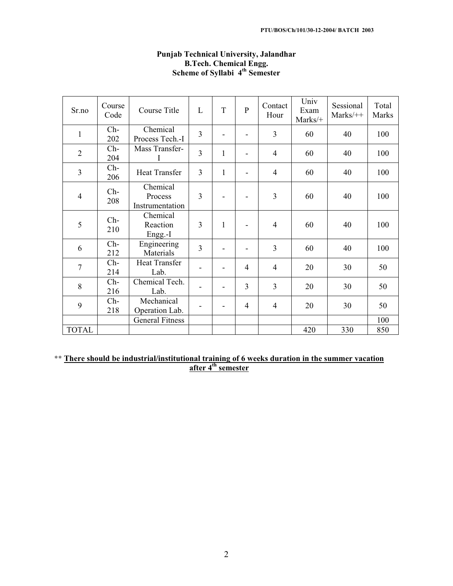| Sr.no          | Course<br>Code | Course Title                           | L              | T            | $\overline{P}$ | Contact<br>Hour | Univ<br>Exam<br>Marks/+ | Sessional<br>$Marks/++$ | Total<br>Marks |
|----------------|----------------|----------------------------------------|----------------|--------------|----------------|-----------------|-------------------------|-------------------------|----------------|
| 1              | $Ch-$<br>202   | Chemical<br>Process Tech.-I            | 3              |              |                | 3               | 60                      | 40                      | 100            |
| $\overline{2}$ | $Ch-$<br>204   | Mass Transfer-                         | 3              | $\mathbf{1}$ |                | $\overline{4}$  | 60                      | 40                      | 100            |
| $\overline{3}$ | $Ch-$<br>206   | <b>Heat Transfer</b>                   | 3              | $\mathbf{1}$ | ۰              | 4               | 60                      | 40                      | 100            |
| $\overline{4}$ | $Ch-$<br>208   | Chemical<br>Process<br>Instrumentation | 3              |              |                | 3               | 60                      | 40                      | 100            |
| 5              | $Ch-$<br>210   | Chemical<br>Reaction<br>Engg.-I        | 3              | $\mathbf{1}$ |                | $\overline{4}$  | 60                      | 40                      | 100            |
| 6              | $Ch-$<br>212   | Engineering<br>Materials               | $\overline{3}$ |              |                | 3               | 60                      | 40                      | 100            |
| $\overline{7}$ | $Ch-$<br>214   | <b>Heat Transfer</b><br>Lab.           |                |              | $\overline{4}$ | $\overline{4}$  | 20                      | 30                      | 50             |
| 8              | $Ch-$<br>216   | Chemical Tech.<br>Lab.                 |                |              | 3              | 3               | 20                      | 30                      | 50             |
| 9              | $Ch-$<br>218   | Mechanical<br>Operation Lab.           |                |              | $\overline{4}$ | $\overline{4}$  | 20                      | 30                      | 50             |
|                |                | <b>General Fitness</b>                 |                |              |                |                 |                         |                         | 100            |
| <b>TOTAL</b>   |                |                                        |                |              |                |                 | 420                     | 330                     | 850            |

# **Punjab Technical University, Jalandhar B.Tech. Chemical Engg. Scheme of Syllabi 4th Semester**

\*\* **There should be industrial/institutional training of 6 weeks duration in the summer vacation after 4th semester**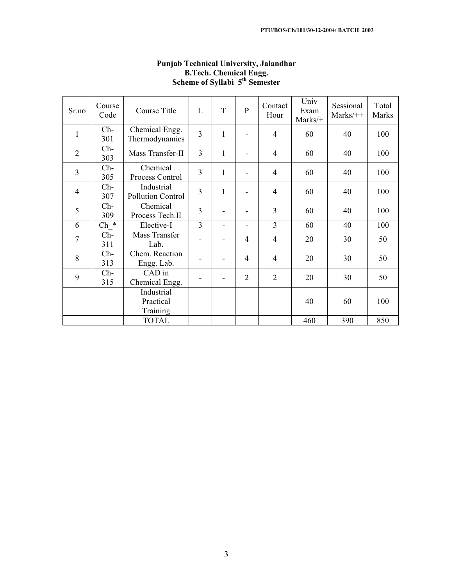| Sr.no          | Course<br>Code | Course Title                        | L              | T            | $\mathbf{P}$             | Contact<br>Hour | Univ<br>Exam<br>Marks/+ | Sessional<br>$Marks/++$ | Total<br>Marks |
|----------------|----------------|-------------------------------------|----------------|--------------|--------------------------|-----------------|-------------------------|-------------------------|----------------|
| $\mathbf{1}$   | $Ch-$<br>301   | Chemical Engg.<br>Thermodynamics    | 3              | $\mathbf{1}$ |                          | $\overline{4}$  | 60                      | 40                      | 100            |
| $\overline{2}$ | $Ch-$<br>303   | Mass Transfer-II                    | $\overline{3}$ | 1            |                          | 4               | 60                      | 40                      | 100            |
| $\overline{3}$ | $Ch-$<br>305   | Chemical<br>Process Control         | 3              | $\mathbf{1}$ |                          | $\overline{4}$  | 60                      | 40                      | 100            |
| $\overline{4}$ | $Ch-$<br>307   | Industrial<br>Pollution Control     | 3              | $\mathbf{1}$ |                          | 4               | 60                      | 40                      | 100            |
| 5              | $Ch-$<br>309   | Chemical<br>Process Tech.II         | 3              |              | $\overline{\phantom{0}}$ | $\overline{3}$  | 60                      | 40                      | 100            |
| 6              | $Ch$ *         | Elective-I                          | 3              | ٠            |                          | $\overline{3}$  | 60                      | 40                      | 100            |
| $\overline{7}$ | $Ch-$<br>311   | Mass Transfer<br>Lab.               |                |              | 4                        | $\overline{4}$  | 20                      | 30                      | 50             |
| 8              | $Ch-$<br>313   | Chem. Reaction<br>Engg. Lab.        |                |              | $\overline{4}$           | 4               | 20                      | 30                      | 50             |
| 9              | $Ch-$<br>315   | CAD in<br>Chemical Engg.            |                |              | $\overline{2}$           | $\overline{2}$  | 20                      | 30                      | 50             |
|                |                | Industrial<br>Practical<br>Training |                |              |                          |                 | 40                      | 60                      | 100            |
|                |                | <b>TOTAL</b>                        |                |              |                          |                 | 460                     | 390                     | 850            |

# **Punjab Technical University, Jalandhar B.Tech. Chemical Engg. Scheme of Syllabi 5th Semester**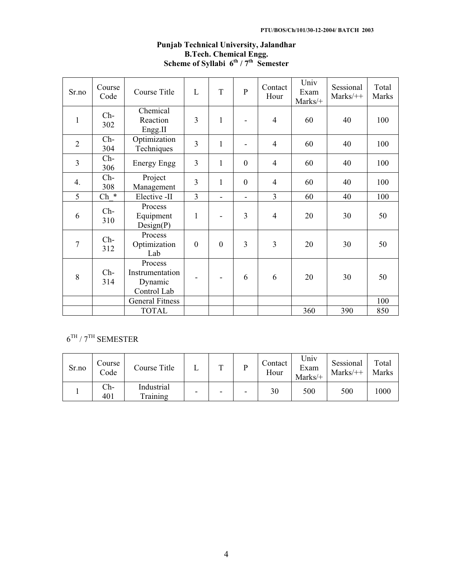| Sr.no          | Course<br>Code                                    | Course Title                                         | L                | T                        | $\overline{P}$           | Contact<br>Hour | Univ<br>Exam<br>Marks/+ | Sessional<br>$Marks/++$ | Total<br>Marks |
|----------------|---------------------------------------------------|------------------------------------------------------|------------------|--------------------------|--------------------------|-----------------|-------------------------|-------------------------|----------------|
| $\mathbf{1}$   | Chemical<br>$Ch-$<br>Reaction<br>302<br>Engg.II   |                                                      | 3                | $\mathbf{1}$             |                          | $\overline{4}$  | 60                      | 40                      | 100            |
| $\overline{2}$ | $Ch-$<br>304                                      | Optimization<br>Techniques                           | $\overline{3}$   | $\mathbf{1}$             | $\blacksquare$           | $\overline{4}$  | 60                      | 40                      | 100            |
| 3              | $Ch-$<br><b>Energy Engg</b><br>306                |                                                      | 3                | $\mathbf{1}$             | $\mathbf{0}$             | $\overline{4}$  | 60                      | 40                      | 100            |
| 4.             | $Ch-$<br>308                                      | Project<br>Management                                | 3                | $\mathbf{1}$             | $\boldsymbol{0}$         | $\overline{4}$  | 60                      | 40                      | 100            |
| 5              | $Ch$ *                                            | Elective -II                                         | $\overline{3}$   | $\overline{\phantom{0}}$ | $\overline{\phantom{a}}$ | 3               | 60                      | 40                      | 100            |
| 6              | Process<br>$Ch-$<br>Equipment<br>310<br>Design(P) |                                                      | $\mathbf{1}$     |                          | 3                        | $\overline{4}$  | 20                      | 30                      | 50             |
| $\overline{7}$ | Process<br>$Ch-$<br>Optimization<br>312<br>Lab    |                                                      | $\boldsymbol{0}$ | $\overline{0}$           | $\overline{3}$           | $\overline{3}$  | 20                      | 30                      | 50             |
| 8              | $Ch-$<br>314                                      | Process<br>Instrumentation<br>Dynamic<br>Control Lab |                  |                          | 6                        | 6               | 20                      | 30                      | 50             |
|                |                                                   | <b>General Fitness</b>                               |                  |                          |                          |                 |                         |                         | 100            |
|                |                                                   | <b>TOTAL</b>                                         |                  |                          |                          |                 | 360                     | 390                     | 850            |

# **Punjab Technical University, Jalandhar B.Tech. Chemical Engg. Scheme of Syllabi 6th / 7th Semester**

# $6^{TH}$  /  $7^{TH}$  SEMESTER

| Sr.no | Course<br>Code | Course Title           | m |   | Contact<br>Hour | Univ<br>Exam<br>Marks/+ | Sessional<br>$Marks/++$ | Total<br>Marks |
|-------|----------------|------------------------|---|---|-----------------|-------------------------|-------------------------|----------------|
|       | $Ch-$<br>401   | Industrial<br>Training |   | - | 30              | 500                     | 500                     | 1000           |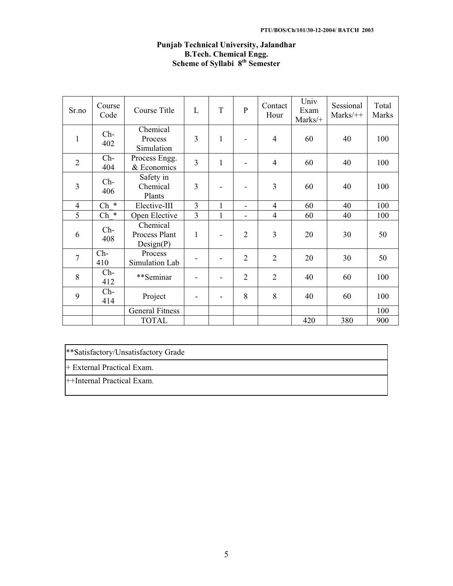# **Punjab Technical University, Jalandhar B.Tech. Chemical Engg. Scheme of Syllabi 8th Semester**

| Sr.no          | Course<br>Code                                    | Course Title                           | L              | T            | $\overline{P}$  | Contact<br>Hour | Univ<br>Exam<br>Marks/+ | Sessional<br>$Marks/++$ | Total<br>Marks |
|----------------|---------------------------------------------------|----------------------------------------|----------------|--------------|-----------------|-----------------|-------------------------|-------------------------|----------------|
| $\mathbf{1}$   | Chemical<br>$Ch-$<br>Process<br>402<br>Simulation |                                        | 3              | $\mathbf{1}$ |                 | $\overline{4}$  | 60                      | 40                      | 100            |
| $\overline{2}$ | $Ch-$<br>404                                      | Process Engg.<br>& Economics           | $\overline{3}$ | $\mathbf{1}$ |                 | $\overline{4}$  | 60                      | 40                      | 100            |
| 3              | $Ch-$<br>406                                      | Safety in<br>Chemical<br>Plants        | 3              |              |                 | 3               | 60                      | 40                      | 100            |
| $\overline{4}$ | $Ch$ *                                            | Elective-III                           | $\overline{3}$ | $\mathbf{1}$ | $\qquad \qquad$ | $\overline{4}$  | 60                      | 40                      | 100            |
| 5              | $\ast$<br>Ch                                      | Open Elective                          | 3              | 1            |                 | $\overline{4}$  | 60                      | 40                      | 100            |
| 6              | $Ch-$<br>408                                      | Chemical<br>Process Plant<br>Design(P) | $\mathbf{1}$   |              | $\overline{2}$  | 3               | 20                      | 30                      | 50             |
| $\overline{7}$ | $Ch-$<br>410                                      | Process<br>Simulation Lab              |                |              | $\overline{2}$  | $\overline{2}$  | 20                      | 30                      | 50             |
| 8              | $Ch-$<br>412                                      | **Seminar                              |                |              | $\overline{2}$  | $\overline{2}$  | 40                      | 60                      | 100            |
| 9              | $Ch-$<br>414                                      | Project                                |                | -            | 8               | 8               | 40                      | 60                      | 100            |
|                |                                                   | <b>General Fitness</b>                 |                |              |                 |                 |                         |                         | 100            |
|                |                                                   | <b>TOTAL</b>                           |                |              |                 |                 | 420                     | 380                     | 900            |

\*\*Satisfactory/Unsatisfactory Grade

+ External Practical Exam.

++Internal Practical Exam.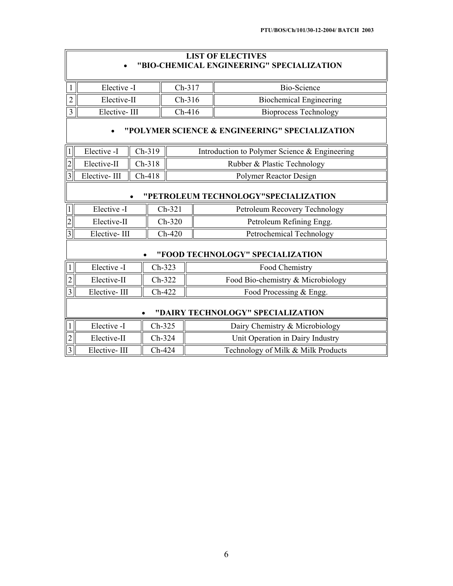# **LIST OF ELECTIVES** x **"BIO-CHEMICAL ENGINEERING" SPECIALIZATION**

| Elective -I  | Ch-317   | Bio-Science             |
|--------------|----------|-------------------------|
| Elective-II  | $Ch-316$ | Biochemical Engineering |
| Elective-III | Ch-416   | Bioprocess Technology   |

# x **"POLYMER SCIENCE & ENGINEERING" SPECIALIZATION**

|                | Elective -I                     | $\parallel$ Ch-319 | Introduction to Polymer Science & Engineering |
|----------------|---------------------------------|--------------------|-----------------------------------------------|
| $\overline{2}$ | Elective-II $\parallel$ Ch-318  |                    | Rubber & Plastic Technology                   |
| $\overline{3}$ | Elective-III $\parallel$ Ch-418 |                    | Polymer Reactor Design                        |

# x **"PETROLEUM TECHNOLOGY"SPECIALIZATION**

| Elective -I  | $Ch-321$ | Petroleum Recovery Technology |
|--------------|----------|-------------------------------|
| Elective-II  | $Ch-320$ | Petroleum Refining Engg.      |
| Elective-III | $Ch-420$ | Petrochemical Technology      |

#### x **"FOOD TECHNOLOGY" SPECIALIZATION**

|           | Elective -I  | $Ch-323$ | Food Chemistry                     |
|-----------|--------------|----------|------------------------------------|
| 2         | Elective-II  | $Ch-322$ | Food Bio-chemistry & Microbiology  |
| $\vert$ 3 | Elective-III | $Ch-422$ | Food Processing & Engg.            |
|           |              |          | "DAIRY TECHNOLOGY" SPECIALIZATION  |
|           | Elective -I  | $Ch-325$ | Dairy Chemistry & Microbiology     |
| 12        | Elective-II  | $Ch-324$ | Unit Operation in Dairy Industry   |
| $\vert$ 3 | Elective-III | $Ch-424$ | Technology of Milk & Milk Products |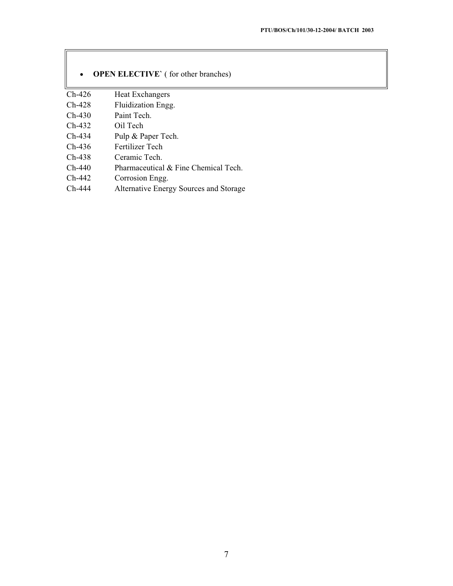| $\bullet$ | <b>OPEN ELECTIVE</b> (for other branches) |  |
|-----------|-------------------------------------------|--|
| $Ch-426$  | <b>Heat Exchangers</b>                    |  |
| $Ch-428$  | Fluidization Engg.                        |  |
| $Ch-430$  | Paint Tech.                               |  |
| $Ch-432$  | Oil Tech                                  |  |
| $Ch-434$  | Pulp & Paper Tech.                        |  |
| $Ch-436$  | Fertilizer Tech                           |  |
| $Ch-438$  | Ceramic Tech.                             |  |
| $Ch-440$  | Pharmaceutical $\&$ Fine Chemical Tech.   |  |
| $Ch-442$  | Corrosion Engg.                           |  |
| $Ch-444$  | Alternative Energy Sources and Storage    |  |

 $\overline{\mathbb{F}}$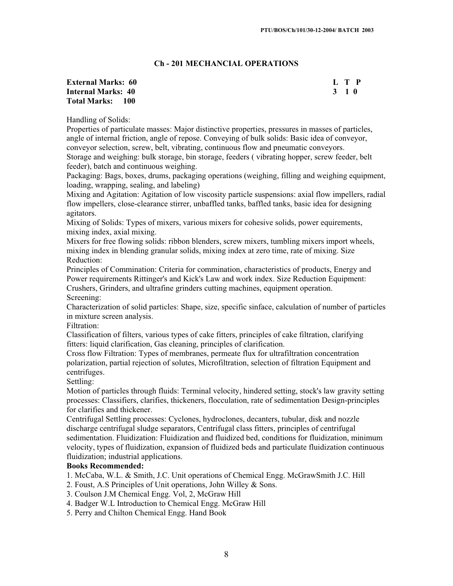# **Ch - 201 MECHANCIAL OPERATIONS**

#### **External Marks: 60** L T P<br> **Internal Marks: 40** 3 1 0 **Internal Marks: 40 Total Marks: 100**

Handling of Solids:

Properties of particulate masses: Major distinctive properties, pressures in masses of particles, angle of internal friction, angle of repose. Conveying of bulk solids: Basic idea of conveyor, conveyor selection, screw, belt, vibrating, continuous flow and pneumatic conveyors.

Storage and weighing: bulk storage, bin storage, feeders ( vibrating hopper, screw feeder, belt feeder), batch and continuous weighing.

Packaging: Bags, boxes, drums, packaging operations (weighing, filling and weighing equipment, loading, wrapping, sealing, and labeling)

Mixing and Agitation: Agitation of low viscosity particle suspensions: axial flow impellers, radial flow impellers, close-clearance stirrer, unbaffled tanks, baffled tanks, basic idea for designing agitators.

Mixing of Solids: Types of mixers, various mixers for cohesive solids, power equirements, mixing index, axial mixing.

Mixers for free flowing solids: ribbon blenders, screw mixers, tumbling mixers import wheels, mixing index in blending granular solids, mixing index at zero time, rate of mixing. Size Reduction:

Principles of Commination: Criteria for commination, characteristics of products, Energy and Power requirements Rittinger's and Kick's Law and work index. Size Reduction Equipment: Crushers, Grinders, and ultrafine grinders cutting machines, equipment operation.

Screening:

Characterization of solid particles: Shape, size, specific sinface, calculation of number of particles in mixture screen analysis.

Filtration:

Classification of filters, various types of cake fitters, principles of cake filtration, clarifying fitters: liquid clarification, Gas cleaning, principles of clarification.

Cross flow Filtration: Types of membranes, permeate flux for ultrafiltration concentration polarization, partial rejection of solutes, Microfiltration, selection of filtration Equipment and centrifuges.

Settling:

Motion of particles through fluids: Terminal velocity, hindered setting, stock's law gravity setting processes: Classifiers, clarifies, thickeners, flocculation, rate of sedimentation Design-principles for clarifies and thickener.

Centrifugal Settling processes: Cyclones, hydroclones, decanters, tubular, disk and nozzle discharge centrifugal sludge separators, Centrifugal class fitters, principles of centrifugal sedimentation. Fluidization: Fluidization and fluidized bed, conditions for fluidization, minimum velocity, types of fluidization, expansion of fluidized beds and particulate fluidization continuous fluidization; industrial applications.

# **Books Recommended:**

1. McCaba, W.L. & Smith, J.C. Unit operations of Chemical Engg. McGrawSmith J.C. Hill

- 2. Foust, A.S Principles of Unit operations, John Willey & Sons.
- 3. Coulson J.M Chemical Engg. Vol, 2, McGraw Hill
- 4. Badger W.L Introduction to Chemical Engg. McGraw Hill
- 5. Perry and Chilton Chemical Engg. Hand Book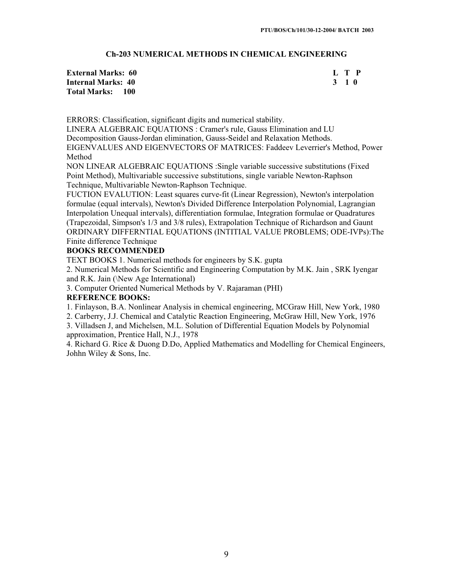# **Ch-203 NUMERICAL METHODS IN CHEMICAL ENGINEERING**

| <b>External Marks: 60</b> | L T P |  |
|---------------------------|-------|--|
| Internal Marks: 40        | 3 1 O |  |
| <b>Total Marks: 100</b>   |       |  |

ERRORS: Classification, significant digits and numerical stability.

LINERA ALGEBRAIC EQUATIONS : Cramer's rule, Gauss Elimination and LU

Decomposition Gauss-Jordan elimination, Gauss-Seidel and Relaxation Methods.

EIGENVALUES AND EIGENVECTORS OF MATRICES: Faddeev Leverrier's Method, Power Method

NON LINEAR ALGEBRAIC EQUATIONS :Single variable successive substitutions (Fixed Point Method), Multivariable successive substitutions, single variable Newton-Raphson Technique, Multivariable Newton-Raphson Technique.

FUCTION EVALUTION: Least squares curve-fit (Linear Regression), Newton's interpolation formulae (equal intervals), Newton's Divided Difference Interpolation Polynomial, Lagrangian Interpolation Unequal intervals), differentiation formulae, Integration formulae or Quadratures (Trapezoidal, Simpson's 1/3 and 3/8 rules), Extrapolation Technique of Richardson and Gaunt ORDINARY DIFFERNTIAL EQUATIONS (INTITIAL VALUE PROBLEMS; ODE-IVPs):The

Finite difference Technique

# **BOOKS RECOMMENDED**

TEXT BOOKS 1. Numerical methods for engineers by S.K. gupta

2. Numerical Methods for Scientific and Engineering Computation by M.K. Jain , SRK Iyengar and R.K. Jain (\New Age International)

3. Computer Oriented Numerical Methods by V. Rajaraman (PHI)

# **REFERENCE BOOKS:**

1. Finlayson, B.A. Nonlinear Analysis in chemical engineering, MCGraw Hill, New York, 1980

2. Carberry, J.J. Chemical and Catalytic Reaction Engineering, McGraw Hill, New York, 1976

3. Villadsen J, and Michelsen, M.L. Solution of Differential Equation Models by Polynomial approximation, Prentice Hall, N.J., 1978

4. Richard G. Rice & Duong D.Do, Applied Mathematics and Modelling for Chemical Engineers, Johhn Wiley & Sons, Inc.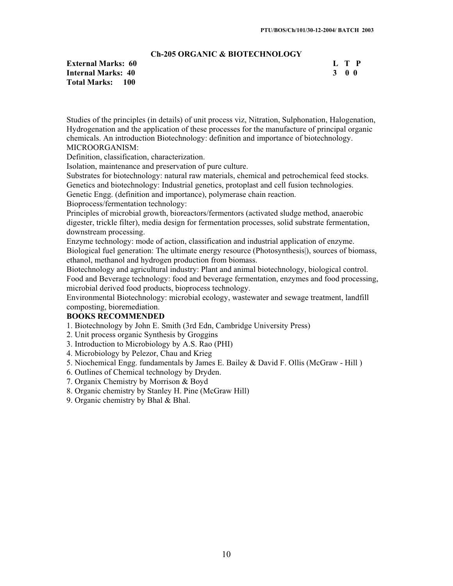# **Ch-205 ORGANIC & BIOTECHNOLOGY**

|   |                   | L T P |
|---|-------------------|-------|
| 3 | $\bf{0}$ $\bf{0}$ |       |

Studies of the principles (in details) of unit process viz, Nitration, Sulphonation, Halogenation, Hydrogenation and the application of these processes for the manufacture of principal organic chemicals. An introduction Biotechnology: definition and importance of biotechnology. MICROORGANISM:

Definition, classification, characterization.

Isolation, maintenance and preservation of pure culture.

Substrates for biotechnology: natural raw materials, chemical and petrochemical feed stocks. Genetics and biotechnology: Industrial genetics, protoplast and cell fusion technologies.

Genetic Engg. (definition and importance), polymerase chain reaction.

Bioprocess/fermentation technology:

Principles of microbial growth, bioreactors/fermentors (activated sludge method, anaerobic digester, trickle filter), media design for fermentation processes, solid substrate fermentation, downstream processing.

Enzyme technology: mode of action, classification and industrial application of enzyme. Biological fuel generation: The ultimate energy resource (Photosynthesis|), sources of biomass, ethanol, methanol and hydrogen production from biomass.

Biotechnology and agricultural industry: Plant and animal biotechnology, biological control. Food and Beverage technology: food and beverage fermentation, enzymes and food processing, microbial derived food products, bioprocess technology.

Environmental Biotechnology: microbial ecology, wastewater and sewage treatment, landfill composting, bioremediation.

#### **BOOKS RECOMMENDED**

1. Biotechnology by John E. Smith (3rd Edn, Cambridge University Press)

2. Unit process organic Synthesis by Groggins

3. Introduction to Microbiology by A.S. Rao (PHI)

- 4. Microbiology by Pelezor, Chau and Krieg
- 5. Niochemical Engg. fundamentals by James E. Bailey & David F. Ollis (McGraw Hill )

6. Outlines of Chemical technology by Dryden.

- 7. Organix Chemistry by Morrison & Boyd
- 8. Organic chemistry by Stanley H. Pine (McGraw Hill)
- 9. Organic chemistry by Bhal & Bhal.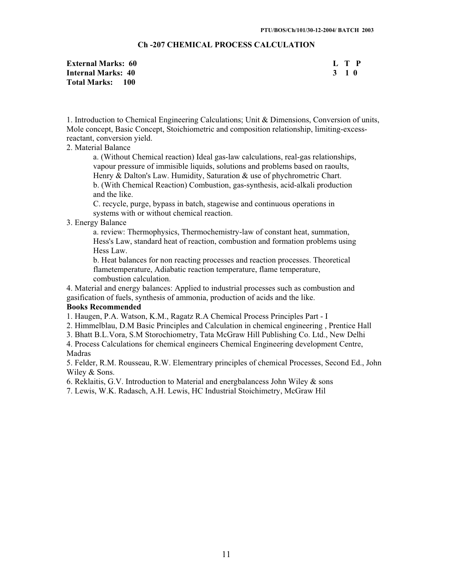# **Ch -207 CHEMICAL PROCESS CALCULATION**

| <b>External Marks: 60</b> | L T P |
|---------------------------|-------|
| Internal Marks: 40        | 3 1 O |
| Total Marks: 100          |       |

1. Introduction to Chemical Engineering Calculations; Unit & Dimensions, Conversion of units, Mole concept, Basic Concept, Stoichiometric and composition relationship, limiting-excessreactant, conversion yield.

# 2. Material Balance

a. (Without Chemical reaction) Ideal gas-law calculations, real-gas relationships, vapour pressure of immisible liquids, solutions and problems based on raoults, Henry & Dalton's Law. Humidity, Saturation & use of phychrometric Chart. b. (With Chemical Reaction) Combustion, gas-synthesis, acid-alkali production and the like.

C. recycle, purge, bypass in batch, stagewise and continuous operations in systems with or without chemical reaction.

#### 3. Energy Balance

a. review: Thermophysics, Thermochemistry-law of constant heat, summation, Hess's Law, standard heat of reaction, combustion and formation problems using Hess Law.

b. Heat balances for non reacting processes and reaction processes. Theoretical flametemperature, Adiabatic reaction temperature, flame temperature, combustion calculation.

4. Material and energy balances: Applied to industrial processes such as combustion and gasification of fuels, synthesis of ammonia, production of acids and the like.

#### **Books Recommended**

1. Haugen, P.A. Watson, K.M., Ragatz R.A Chemical Process Principles Part - I

2. Himmelblau, D.M Basic Principles and Calculation in chemical engineering , Prentice Hall

3. Bhatt B.L.Vora, S.M Storochiometry, Tata McGraw Hill Publishing Co. Ltd., New Delhi

4. Process Calculations for chemical engineers Chemical Engineering development Centre, Madras

5. Felder, R.M. Rousseau, R.W. Elementrary principles of chemical Processes, Second Ed., John Wiley & Sons.

6. Reklaitis, G.V. Introduction to Material and energbalancess John Wiley & sons

7. Lewis, W.K. Radasch, A.H. Lewis, HC Industrial Stoichimetry, McGraw Hil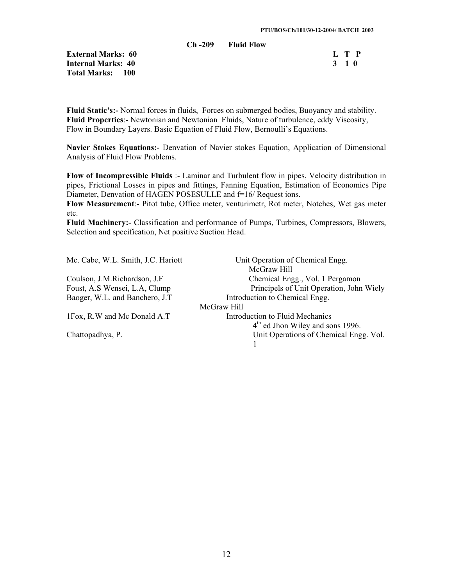**Ch -209 Fluid Flow** 

**External Marks: 60 L T P Internal Marks: 40 3 1 0 Total Marks: 100** 

**Fluid Static's:-** Normal forces in fluids, Forces on submerged bodies, Buoyancy and stability. **Fluid Properties**:- Newtonian and Newtonian Fluids, Nature of turbulence, eddy Viscosity, Flow in Boundary Layers. Basic Equation of Fluid Flow, Bernoulli's Equations.

**Navier Stokes Equations:-** Denvation of Navier stokes Equation, Application of Dimensional Analysis of Fluid Flow Problems.

**Flow of Incompressible Fluids** :- Laminar and Turbulent flow in pipes, Velocity distribution in pipes, Frictional Losses in pipes and fittings, Fanning Equation, Estimation of Economics Pipe Diameter, Denvation of HAGEN POSESULLE and f=16/ Request ions.

**Flow Measurement**:- Pitot tube, Office meter, venturimetr, Rot meter, Notches, Wet gas meter etc.

**Fluid Machinery:-** Classification and performance of Pumps, Turbines, Compressors, Blowers, Selection and specification, Net positive Suction Head.

| Mc. Cabe, W.L. Smith, J.C. Hariott | Unit Operation of Chemical Engg.             |
|------------------------------------|----------------------------------------------|
|                                    | McGraw Hill                                  |
| Coulson, J.M.Richardson, J.F       | Chemical Engg., Vol. 1 Pergamon              |
| Foust, A.S Wensei, L.A, Clump      | Principels of Unit Operation, John Wiely     |
| Baoger, W.L. and Banchero, J.T.    | Introduction to Chemical Engg.               |
|                                    | McGraw Hill                                  |
| 1Fox, R.W and Mc Donald A.T        | Introduction to Fluid Mechanics              |
|                                    | 4 <sup>th</sup> ed Jhon Wiley and sons 1996. |
| Chattopadhya, P.                   | Unit Operations of Chemical Engg. Vol.       |
|                                    |                                              |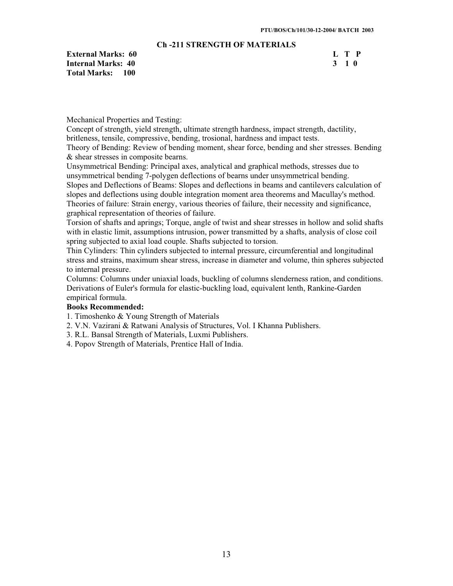# **Ch -211 STRENGTH OF MATERIALS**

**External Marks: 60 L T P Internal Marks: 40 3 1 0 Total Marks: 100** 

Mechanical Properties and Testing:

Concept of strength, yield strength, ultimate strength hardness, impact strength, dactility, britleness, tensile, compressive, bending, trosional, hardness and impact tests.

Theory of Bending: Review of bending moment, shear force, bending and sher stresses. Bending & shear stresses in composite bearns.

Unsymmetrical Bending: Principal axes, analytical and graphical methods, stresses due to unsymmetrical bending 7-polygen deflections of bearns under unsymmetrical bending. Slopes and Deflections of Beams: Slopes and deflections in beams and cantilevers calculation of slopes and deflections using double integration moment area theorems and Macullay's method. Theories of failure: Strain energy, various theories of failure, their necessity and significance, graphical representation of theories of failure.

Torsion of shafts and aprings; Torque, angle of twist and shear stresses in hollow and solid shafts with in elastic limit, assumptions intrusion, power transmitted by a shafts, analysis of close coil spring subjected to axial load couple. Shafts subjected to torsion.

Thin Cylinders: Thin cylinders subjected to internal pressure, circumferential and longitudinal stress and strains, maximum shear stress, increase in diameter and volume, thin spheres subjected to internal pressure.

Columns: Columns under uniaxial loads, buckling of columns slenderness ration, and conditions. Derivations of Euler's formula for elastic-buckling load, equivalent lenth, Rankine-Garden empirical formula.

# **Books Recommended:**

- 1. Timoshenko & Young Strength of Materials
- 2. V.N. Vazirani & Ratwani Analysis of Structures, Vol. I Khanna Publishers.
- 3. R.L. Bansal Strength of Materials, Luxmi Publishers.
- 4. Popov Strength of Materials, Prentice Hall of India.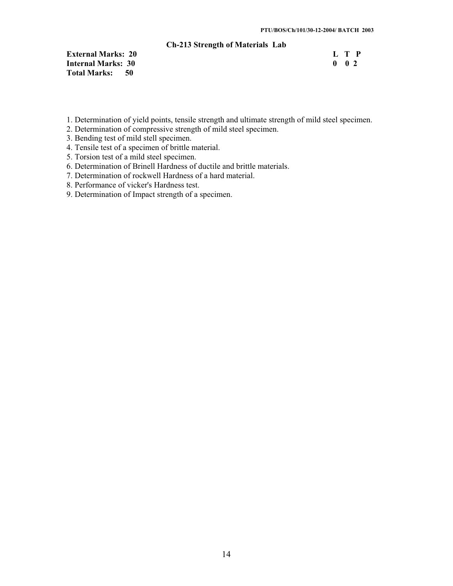#### **Ch-213 Strength of Materials Lab**

**External Marks: 20** L T P<br> **Internal Marks: 30** 0 2 **Internal Marks: 30 Total Marks: 50** 

- 1. Determination of yield points, tensile strength and ultimate strength of mild steel specimen.
- 2. Determination of compressive strength of mild steel specimen.
- 3. Bending test of mild stell specimen.
- 4. Tensile test of a specimen of brittle material.
- 5. Torsion test of a mild steel specimen.
- 6. Determination of Brinell Hardness of ductile and brittle materials.
- 7. Determination of rockwell Hardness of a hard material.
- 8. Performance of vicker's Hardness test.
- 9. Determination of Impact strength of a specimen.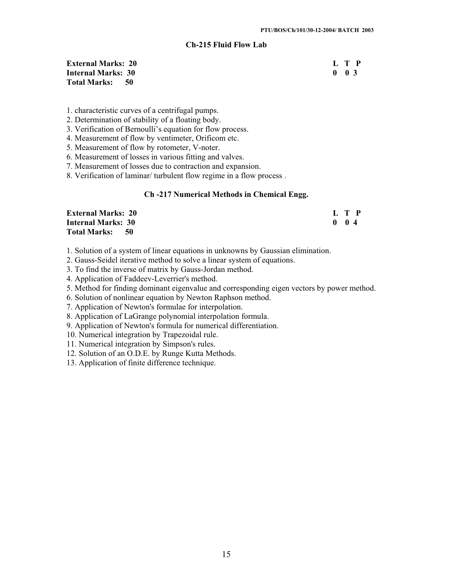#### **Ch-215 Fluid Flow Lab**

**External Marks: 20 L T P Internal Marks: 30 0 0 3**  0 0 3 **Total Marks: 50** 

- 1. characteristic curves of a centrifugal pumps.
- 2. Determination of stability of a floating body.
- 3. Verification of Bernoulli's equation for flow process.
- 4. Measurement of flow by ventimeter, Orificom etc.
- 5. Measurement of flow by rotometer, V-noter.
- 6. Measurement of losses in various fitting and valves.
- 7. Measurement of losses due to contraction and expansion.
- 8. Verification of laminar/ turbulent flow regime in a flow process .

#### **Ch -217 Numerical Methods in Chemical Engg.**

| <b>External Marks: 20</b> | L T P     |
|---------------------------|-----------|
| <b>Internal Marks: 30</b> | $0 \t 04$ |
| Total Marks: 50           |           |

- 1. Solution of a system of linear equations in unknowns by Gaussian elimination.
- 2. Gauss-Seidel iterative method to solve a linear system of equations.
- 3. To find the inverse of matrix by Gauss-Jordan method.
- 4. Application of Faddeev-Leverrier's method.
- 5. Method for finding dominant eigenvalue and corresponding eigen vectors by power method.
- 6. Solution of nonlinear equation by Newton Raphson method.
- 7. Application of Newton's formulae for interpolation.
- 8. Application of LaGrange polynomial interpolation formula.
- 9. Application of Newton's formula for numerical differentiation.
- 10. Numerical integration by Trapezoidal rule.
- 11. Numerical integration by Simpson's rules.
- 12. Solution of an O.D.E. by Runge Kutta Methods.
- 13. Application of finite difference technique.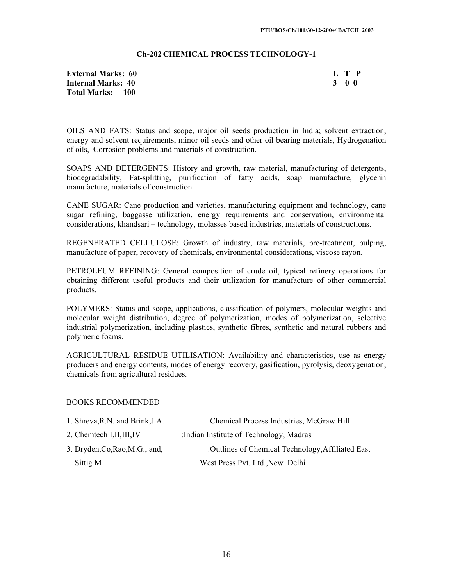#### **Ch-202 CHEMICAL PROCESS TECHNOLOGY-1**

| External Marks: 60 | L T P |  |  |
|--------------------|-------|--|--|
| Internal Marks: 40 | 300   |  |  |
| Total Marks: 100   |       |  |  |

OILS AND FATS: Status and scope, major oil seeds production in India; solvent extraction, energy and solvent requirements, minor oil seeds and other oil bearing materials, Hydrogenation of oils, Corrosion problems and materials of construction.

SOAPS AND DETERGENTS: History and growth, raw material, manufacturing of detergents, biodegradability, Fat-splitting, purification of fatty acids, soap manufacture, glycerin manufacture, materials of construction

CANE SUGAR: Cane production and varieties, manufacturing equipment and technology, cane sugar refining, baggasse utilization, energy requirements and conservation, environmental considerations, khandsari – technology, molasses based industries, materials of constructions.

REGENERATED CELLULOSE: Growth of industry, raw materials, pre-treatment, pulping, manufacture of paper, recovery of chemicals, environmental considerations, viscose rayon.

PETROLEUM REFINING: General composition of crude oil, typical refinery operations for obtaining different useful products and their utilization for manufacture of other commercial products.

POLYMERS: Status and scope, applications, classification of polymers, molecular weights and molecular weight distribution, degree of polymerization, modes of polymerization, selective industrial polymerization, including plastics, synthetic fibres, synthetic and natural rubbers and polymeric foams.

AGRICULTURAL RESIDUE UTILISATION: Availability and characteristics, use as energy producers and energy contents, modes of energy recovery, gasification, pyrolysis, deoxygenation, chemicals from agricultural residues.

# BOOKS RECOMMENDED

| 1. Shreva, R.N. and Brink, J.A. | :Chemical Process Industries, McGraw Hill         |
|---------------------------------|---------------------------------------------------|
| 2. Chemtech I, II, III, IV      | : Indian Institute of Technology, Madras          |
| 3. Dryden, Co, Rao, M.G., and,  | :Outlines of Chemical Technology, Affiliated East |
| Sittig M                        | West Press Pvt. Ltd., New Delhi                   |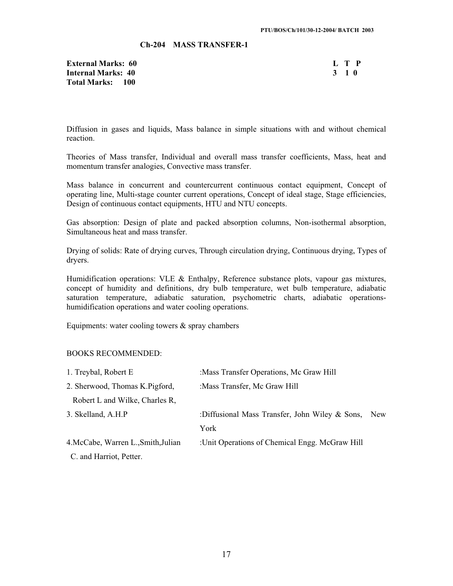#### **Ch-204 MASS TRANSFER-1**

**External Marks: 60 Internal Marks: 40 Total Marks: 100** 

| н | ı | р |
|---|---|---|
| J |   | o |

Diffusion in gases and liquids, Mass balance in simple situations with and without chemical reaction.

Theories of Mass transfer, Individual and overall mass transfer coefficients, Mass, heat and momentum transfer analogies, Convective mass transfer.

Mass balance in concurrent and countercurrent continuous contact equipment, Concept of operating line, Multi-stage counter current operations, Concept of ideal stage, Stage efficiencies, Design of continuous contact equipments, HTU and NTU concepts.

Gas absorption: Design of plate and packed absorption columns, Non-isothermal absorption, Simultaneous heat and mass transfer.

Drying of solids: Rate of drying curves, Through circulation drying, Continuous drying, Types of dryers.

Humidification operations: VLE  $\&$  Enthalpy, Reference substance plots, vapour gas mixtures, concept of humidity and definitions, dry bulb temperature, wet bulb temperature, adiabatic saturation temperature, adiabatic saturation, psychometric charts, adiabatic operationshumidification operations and water cooling operations.

Equipments: water cooling towers  $\&$  spray chambers

#### BOOKS RECOMMENDED:

| 1. Treybal, Robert E                | : Mass Transfer Operations, Mc Graw Hill        |     |
|-------------------------------------|-------------------------------------------------|-----|
| 2. Sherwood, Thomas K. Pigford,     | : Mass Transfer, Mc Graw Hill                   |     |
| Robert L and Wilke, Charles R,      |                                                 |     |
| 3. Skelland, A.H.P                  | :Diffusional Mass Transfer, John Wiley & Sons,  | New |
|                                     | York                                            |     |
| 4. McCabe, Warren L., Smith, Julian | : Unit Operations of Chemical Engg. McGraw Hill |     |
| C. and Harriot, Petter.             |                                                 |     |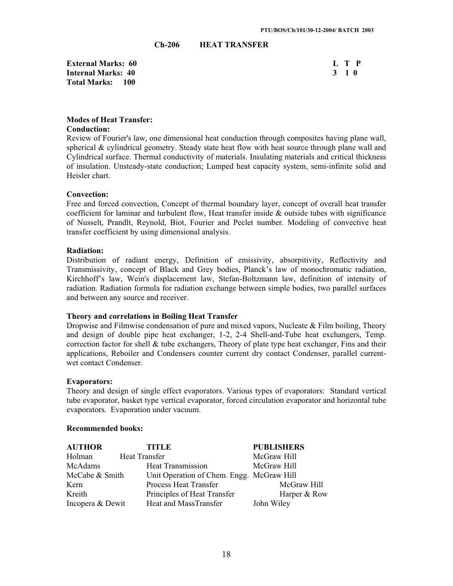#### **Ch-206 HEAT TRANSFER**

**External Marks: 60 Internal Marks: 40 Total Marks: 100** 

| Т. | T            | P           |
|----|--------------|-------------|
| 3  | $\mathbf{1}$ | $\mathbf 0$ |

#### **Modes of Heat Transfer: Conduction:**

Review of Fourier's law, one dimensional heat conduction through composites having plane wall, spherical  $\&$  cylindrical geometry. Steady state heat flow with heat source through plane wall and Cylindrical surface. Thermal conductivity of materials. Insulating materials and critical thickness of insulation. Unsteady-state conduction; Lumped heat capacity system, semi-infinite solid and Heisler chart.

#### **Convection:**

Free and forced convection, Concept of thermal boundary layer, concept of overall heat transfer coefficient for laminar and turbulent flow, Heat transfer inside  $\&$  outside tubes with significance of Nusselt, Prandlt, Reynold, Biot, Fourier and Peclet number. Modeling of convective heat transfer coefficient by using dimensional analysis.

#### **Radiation:**

Distribution of radiant energy, Definition of emissivity, absorpitivity, Reflectivity and Transmissivity, concept of Black and Grey bodies, Planck's law of monochromatic radiation, Kirchhoff's law, Wein's displacement law, Stefan-Boltzmann law, definition of intensity of radiation. Radiation formula for radiation exchange between simple bodies, two parallel surfaces and between any source and receiver.

#### **Theory and correlations in Boiling Heat Transfer**

Dropwise and Filmwise condensation of pure and mixed vapors, Nucleate & Film boiling, Theory and design of double pipe heat exchanger, 1-2, 2-4 Shell-and-Tube heat exchangers, Temp. correction factor for shell  $\&$  tube exchangers, Theory of plate type heat exchanger, Fins and their applications, Reboiler and Condensers counter current dry contact Condenser, parallel currentwet contact Condenser.

#### **Evaporators:**

Theory and design of single effect evaporators. Various types of evaporators: Standard vertical tube evaporator, basket type vertical evaporator, forced circulation evaporator and horizontal tube evaporators. Evaporation under vacuum.

#### **Recommended books:**

| <b>AUTHOR</b>    | <b>TITLE</b>                              | <b>PUBLISHERS</b> |
|------------------|-------------------------------------------|-------------------|
| Holman           | Heat Transfer                             | McGraw Hill       |
| McAdams          | <b>Heat Transmission</b>                  | McGraw Hill       |
| McCabe & Smith   | Unit Operation of Chem. Engg. McGraw Hill |                   |
| Kern             | <b>Process Heat Transfer</b>              | McGraw Hill       |
| Kreith           | Principles of Heat Transfer               | Harper & Row      |
| Incopera & Dewit | Heat and MassTransfer                     | John Wiley        |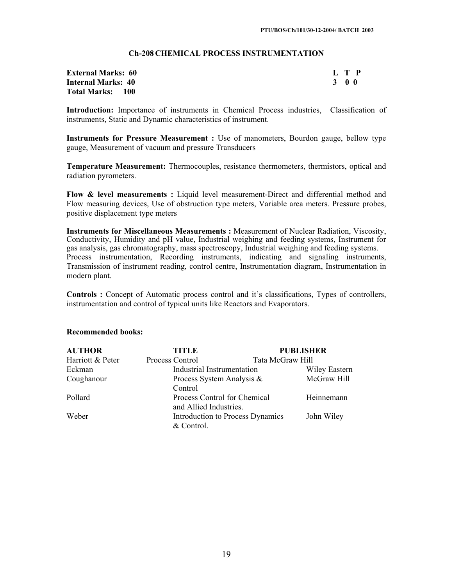# **Ch-208 CHEMICAL PROCESS INSTRUMENTATION**

| <b>External Marks: 60</b> |       | L T P |
|---------------------------|-------|-------|
| <b>Internal Marks: 40</b> | 3 O O |       |
| <b>Total Marks: 100</b>   |       |       |

**Introduction:** Importance of instruments in Chemical Process industries, Classification of instruments, Static and Dynamic characteristics of instrument.

**Instruments for Pressure Measurement :** Use of manometers, Bourdon gauge, bellow type gauge, Measurement of vacuum and pressure Transducers

**Temperature Measurement:** Thermocouples, resistance thermometers, thermistors, optical and radiation pyrometers.

**Flow & level measurements :** Liquid level measurement-Direct and differential method and Flow measuring devices, Use of obstruction type meters, Variable area meters. Pressure probes, positive displacement type meters

**Instruments for Miscellaneous Measurements :** Measurement of Nuclear Radiation, Viscosity, Conductivity, Humidity and pH value, Industrial weighing and feeding systems, Instrument for gas analysis, gas chromatography, mass spectroscopy, Industrial weighing and feeding systems. Process instrumentation, Recording instruments, indicating and signaling instruments, Transmission of instrument reading, control centre, Instrumentation diagram, Instrumentation in modern plant.

**Controls :** Concept of Automatic process control and it's classifications, Types of controllers, instrumentation and control of typical units like Reactors and Evaporators.

| <b>AUTHOR</b>    | <b>TITLE</b>                 |                                  | <b>PUBLISHER</b>     |
|------------------|------------------------------|----------------------------------|----------------------|
| Harriott & Peter | Process Control              | Tata McGraw Hill                 |                      |
| Eckman           | Industrial Instrumentation   |                                  | <b>Wiley Eastern</b> |
| Coughanour       | Process System Analysis &    |                                  | McGraw Hill          |
|                  | Control                      |                                  |                      |
| Pollard          | Process Control for Chemical |                                  | Heinnemann           |
|                  | and Allied Industries.       |                                  |                      |
| Weber            |                              | Introduction to Process Dynamics | John Wiley           |
|                  | & Control.                   |                                  |                      |

#### **Recommended books:**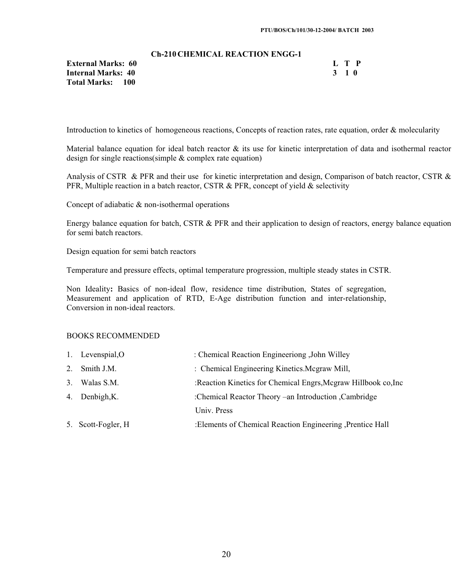#### **Ch-210 CHEMICAL REACTION ENGG-1**

**External Marks: 60 L T P Internal Marks: 40 3 1 0 Total Marks: 100** 

Introduction to kinetics of homogeneous reactions, Concepts of reaction rates, rate equation, order & molecularity

Material balance equation for ideal batch reactor  $\&$  its use for kinetic interpretation of data and isothermal reactor design for single reactions(simple & complex rate equation)

Analysis of CSTR & PFR and their use for kinetic interpretation and design, Comparison of batch reactor, CSTR & PFR, Multiple reaction in a batch reactor, CSTR  $&$  PFR, concept of yield  $&$  selectivity

Concept of adiabatic & non-isothermal operations

Energy balance equation for batch, CSTR & PFR and their application to design of reactors, energy balance equation for semi batch reactors.

Design equation for semi batch reactors

Temperature and pressure effects, optimal temperature progression, multiple steady states in CSTR.

Non Ideality**:** Basics of non-ideal flow, residence time distribution, States of segregation, Measurement and application of RTD, E-Age distribution function and inter-relationship, Conversion in non-ideal reactors.

# BOOKS RECOMMENDED

| 1. Levenspial, O   | : Chemical Reaction Engineeriong , John Willey                  |
|--------------------|-----------------------------------------------------------------|
| 2. Smith J.M.      | : Chemical Engineering Kinetics. Mcgraw Mill,                   |
| 3. Walas S.M.      | : Reaction Kinetics for Chemical Engrs, Mcgraw Hillbook co, Inc |
| 4. Denbigh, K.     | :Chemical Reactor Theory –an Introduction , Cambridge           |
|                    | Univ. Press                                                     |
| 5. Scott-Fogler, H | :Elements of Chemical Reaction Engineering , Prentice Hall      |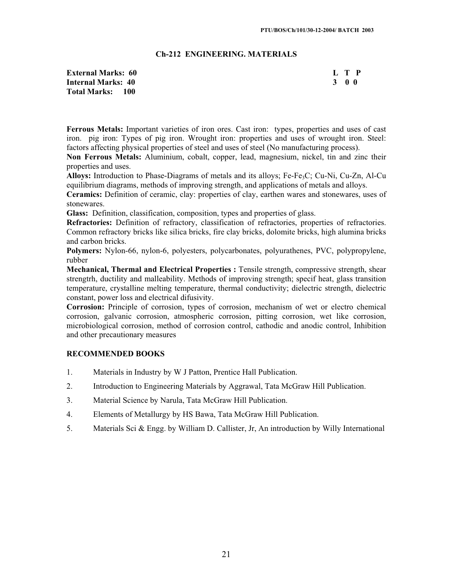#### **Ch-212 ENGINEERING. MATERIALS**

| <b>External Marks: 60</b> | L T P |
|---------------------------|-------|
| <b>Internal Marks: 40</b> | 3 O O |
| <b>Total Marks: 100</b>   |       |

**Ferrous Metals:** Important varieties of iron ores. Cast iron: types, properties and uses of cast iron. pig iron: Types of pig iron. Wrought iron: properties and uses of wrought iron. Steel: factors affecting physical properties of steel and uses of steel (No manufacturing process).

**Non Ferrous Metals:** Aluminium, cobalt, copper, lead, magnesium, nickel, tin and zinc their properties and uses.

**Alloys:** Introduction to Phase-Diagrams of metals and its alloys; Fe-Fe3C; Cu-Ni, Cu-Zn, Al-Cu equilibrium diagrams, methods of improving strength, and applications of metals and alloys.

**Ceramics:** Definition of ceramic, clay: properties of clay, earthen wares and stonewares, uses of stonewares.

**Glass:** Definition, classification, composition, types and properties of glass.

**Refractories:** Definition of refractory, classification of refractories, properties of refractories. Common refractory bricks like silica bricks, fire clay bricks, dolomite bricks, high alumina bricks and carbon bricks.

**Polymers:** Nylon-66, nylon-6, polyesters, polycarbonates, polyurathenes, PVC, polypropylene, rubber

**Mechanical, Thermal and Electrical Properties :** Tensile strength, compressive strength, shear strengtrh, ductility and malleability. Methods of improving strength; specif heat, glass transition temperature, crystalline melting temperature, thermal conductivity; dielectric strength, dielectric constant, power loss and electrical difusivity.

**Corrosion:** Principle of corrosion, types of corrosion, mechanism of wet or electro chemical corrosion, galvanic corrosion, atmospheric corrosion, pitting corrosion, wet like corrosion, microbiological corrosion, method of corrosion control, cathodic and anodic control, Inhibition and other precautionary measures

#### **RECOMMENDED BOOKS**

- 1. Materials in Industry by W J Patton, Prentice Hall Publication.
- 2. Introduction to Engineering Materials by Aggrawal, Tata McGraw Hill Publication.
- 3. Material Science by Narula, Tata McGraw Hill Publication.
- 4. Elements of Metallurgy by HS Bawa, Tata McGraw Hill Publication.
- 5. Materials Sci & Engg. by William D. Callister, Jr, An introduction by Willy International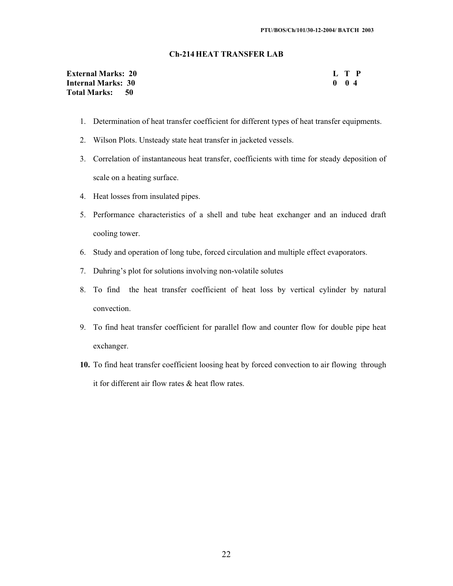#### **Ch-214 HEAT TRANSFER LAB**

| <b>External Marks: 20</b> |  |               | L T P |
|---------------------------|--|---------------|-------|
| Internal Marks: 30        |  | $0 \t 0 \t 4$ |       |
| Total Marks: 50           |  |               |       |

- 1. Determination of heat transfer coefficient for different types of heat transfer equipments.
- 2. Wilson Plots. Unsteady state heat transfer in jacketed vessels.
- 3. Correlation of instantaneous heat transfer, coefficients with time for steady deposition of scale on a heating surface.
- 4. Heat losses from insulated pipes.
- 5. Performance characteristics of a shell and tube heat exchanger and an induced draft cooling tower.
- 6. Study and operation of long tube, forced circulation and multiple effect evaporators.
- 7. Duhring's plot for solutions involving non-volatile solutes
- 8. To find the heat transfer coefficient of heat loss by vertical cylinder by natural convection.
- 9. To find heat transfer coefficient for parallel flow and counter flow for double pipe heat exchanger.
- **10.** To find heat transfer coefficient loosing heat by forced convection to air flowing through it for different air flow rates & heat flow rates.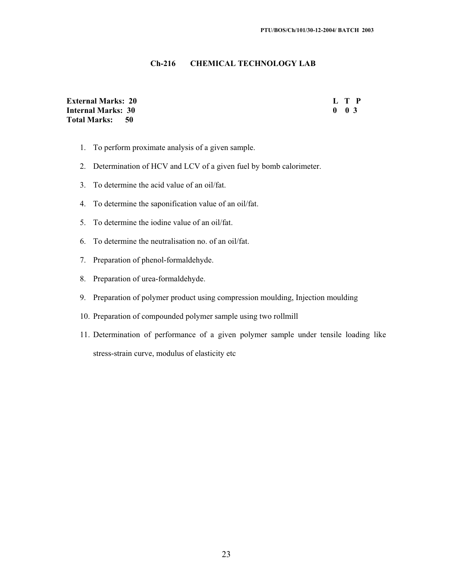# **Ch-216 CHEMICAL TECHNOLOGY LAB**

**External Marks: 20 L T P Internal Marks: 30<br>Total Marks: 50 Total Marks:** 

- 1. To perform proximate analysis of a given sample.
- 2. Determination of HCV and LCV of a given fuel by bomb calorimeter.
- 3. To determine the acid value of an oil/fat.
- 4. To determine the saponification value of an oil/fat.
- 5. To determine the iodine value of an oil/fat.
- 6. To determine the neutralisation no. of an oil/fat.
- 7. Preparation of phenol-formaldehyde.
- 8. Preparation of urea-formaldehyde.
- 9. Preparation of polymer product using compression moulding, Injection moulding
- 10. Preparation of compounded polymer sample using two rollmill
- 11. Determination of performance of a given polymer sample under tensile loading like stress-strain curve, modulus of elasticity etc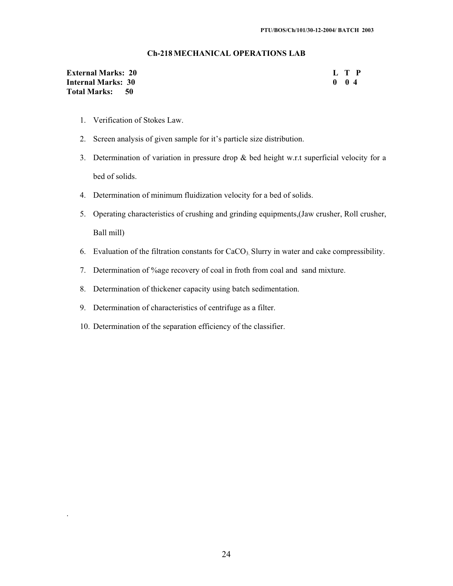#### **Ch-218 MECHANICAL OPERATIONS LAB**

| <b>External Marks: 20</b> | L T P        |  |
|---------------------------|--------------|--|
| <b>Internal Marks: 30</b> | $0 \quad 04$ |  |
| Total Marks: 50           |              |  |

- 1. Verification of Stokes Law.
- 2. Screen analysis of given sample for it's particle size distribution.
- 3. Determination of variation in pressure drop & bed height w.r.t superficial velocity for a bed of solids.
- 4. Determination of minimum fluidization velocity for a bed of solids.
- 5. Operating characteristics of crushing and grinding equipments,(Jaw crusher, Roll crusher,

Ball mill)

.

- 6. Evaluation of the filtration constants for  $CaCO<sub>3</sub>$  Slurry in water and cake compressibility.
- 7. Determination of %age recovery of coal in froth from coal and sand mixture.
- 8. Determination of thickener capacity using batch sedimentation.
- 9. Determination of characteristics of centrifuge as a filter.
- 10. Determination of the separation efficiency of the classifier.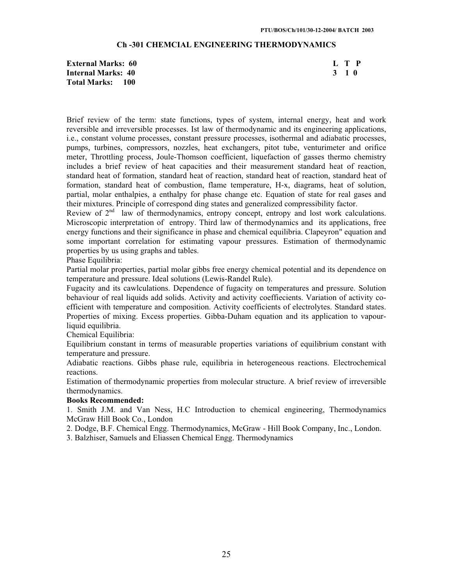#### **Ch -301 CHEMCIAL ENGINEERING THERMODYNAMICS**

**External Marks: 60 L T P Internal Marks: 40 3 1 0 Total Marks: 100** 

Brief review of the term: state functions, types of system, internal energy, heat and work reversible and irreversible processes. Ist law of thermodynamic and its engineering applications, i.e., constant volume processes, constant pressure processes, isothermal and adiabatic processes, pumps, turbines, compressors, nozzles, heat exchangers, pitot tube, venturimeter and orifice meter, Throttling process, Joule-Thomson coefficient, liquefaction of gasses thermo chemistry includes a brief review of heat capacities and their measurement standard heat of reaction, standard heat of formation, standard heat of reaction, standard heat of reaction, standard heat of formation, standard heat of combustion, flame temperature, H-x, diagrams, heat of solution, partial, molar enthalpies, a enthalpy for phase change etc. Equation of state for real gases and their mixtures. Principle of correspond ding states and generalized compressibility factor.

Review of 2<sup>nd</sup> law of thermodynamics, entropy concept, entropy and lost work calculations. Microscopic interpretation of entropy. Third law of thermodynamics and its applications, free energy functions and their significance in phase and chemical equilibria. Clapeyron" equation and some important correlation for estimating vapour pressures. Estimation of thermodynamic properties by us using graphs and tables.

Phase Equilibria:

Partial molar properties, partial molar gibbs free energy chemical potential and its dependence on temperature and pressure. Ideal solutions (Lewis-Randel Rule).

Fugacity and its cawlculations. Dependence of fugacity on temperatures and pressure. Solution behaviour of real liquids add solids. Activity and activity coeffiecients. Variation of activity coefficient with temperature and composition. Activity coefficients of electrolytes. Standard states. Properties of mixing. Excess properties. Gibba-Duham equation and its application to vapourliquid equilibria.

Chemical Equilibria:

Equilibrium constant in terms of measurable properties variations of equilibrium constant with temperature and pressure.

Adiabatic reactions. Gibbs phase rule, equilibria in heterogeneous reactions. Electrochemical reactions.

Estimation of thermodynamic properties from molecular structure. A brief review of irreversible thermodynamics.

#### **Books Recommended:**

1. Smith J.M. and Van Ness, H.C Introduction to chemical engineering, Thermodynamics McGraw Hill Book Co., London

2. Dodge, B.F. Chemical Engg. Thermodynamics, McGraw - Hill Book Company, Inc., London.

3. Balzhiser, Samuels and Eliassen Chemical Engg. Thermodynamics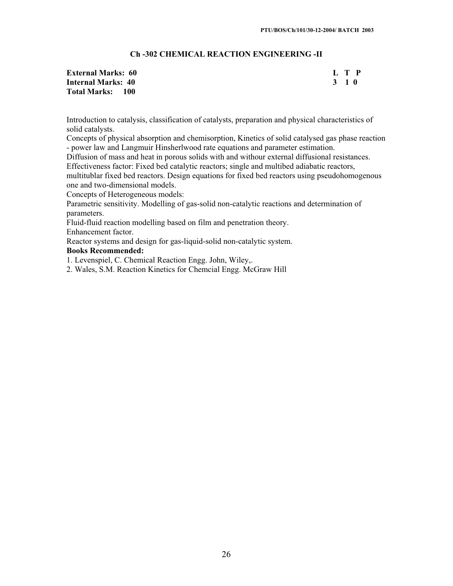# **Ch -302 CHEMICAL REACTION ENGINEERING -II**

| <b>External Marks: 60</b> | L T P |
|---------------------------|-------|
| <b>Internal Marks: 40</b> | 3 1 0 |
| <b>Total Marks: 100</b>   |       |

Introduction to catalysis, classification of catalysts, preparation and physical characteristics of solid catalysts.

Concepts of physical absorption and chemisorption, Kinetics of solid catalysed gas phase reaction - power law and Langmuir Hinsherlwood rate equations and parameter estimation.

Diffusion of mass and heat in porous solids with and withour external diffusional resistances. Effectiveness factor: Fixed bed catalytic reactors; single and multibed adiabatic reactors,

multitublar fixed bed reactors. Design equations for fixed bed reactors using pseudohomogenous one and two-dimensional models.

Concepts of Heterogeneous models:

Parametric sensitivity. Modelling of gas-solid non-catalytic reactions and determination of parameters.

Fluid-fluid reaction modelling based on film and penetration theory. Enhancement factor.

Reactor systems and design for gas-liquid-solid non-catalytic system. **Books Recommended:** 

1. Levenspiel, C. Chemical Reaction Engg. John, Wiley,.

2. Wales, S.M. Reaction Kinetics for Chemcial Engg. McGraw Hill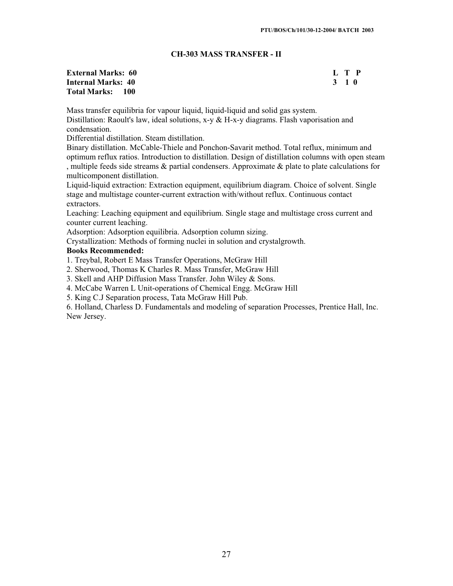# **CH-303 MASS TRANSFER - II**

#### **External Marks: 60 L T P**<br> **Internal Marks: 40** 2 2 2 3 2 1 0 **Internal Marks: 40 Total Marks: 100**

Mass transfer equilibria for vapour liquid, liquid-liquid and solid gas system. Distillation: Raoult's law, ideal solutions,  $x-y \& H-x-y$  diagrams. Flash vaporisation and condensation.

Differential distillation. Steam distillation.

Binary distillation. McCable-Thiele and Ponchon-Savarit method. Total reflux, minimum and optimum reflux ratios. Introduction to distillation. Design of distillation columns with open steam , multiple feeds side streams  $\&$  partial condensers. Approximate  $\&$  plate to plate calculations for multicomponent distillation.

Liquid-liquid extraction: Extraction equipment, equilibrium diagram. Choice of solvent. Single stage and multistage counter-current extraction with/without reflux. Continuous contact extractors.

Leaching: Leaching equipment and equilibrium. Single stage and multistage cross current and counter current leaching.

Adsorption: Adsorption equilibria. Adsorption column sizing.

Crystallization: Methods of forming nuclei in solution and crystalgrowth.

#### **Books Recommended:**

1. Treybal, Robert E Mass Transfer Operations, McGraw Hill

2. Sherwood, Thomas K Charles R. Mass Transfer, McGraw Hill

3. Skell and AHP Diffusion Mass Transfer. John Wiley & Sons.

4. McCabe Warren L Unit-operations of Chemical Engg. McGraw Hill

5. King C.J Separation process, Tata McGraw Hill Pub.

6. Holland, Charless D. Fundamentals and modeling of separation Processes, Prentice Hall, Inc. New Jersey.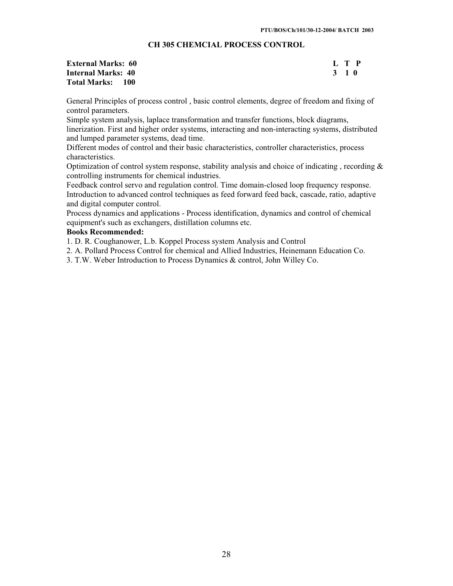# **CH 305 CHEMCIAL PROCESS CONTROL**

| <b>External Marks: 60</b> |       | L T P |
|---------------------------|-------|-------|
| Internal Marks: 40        | 3 1 0 |       |
| <b>Total Marks: 100</b>   |       |       |

General Principles of process control , basic control elements, degree of freedom and fixing of control parameters.

Simple system analysis, laplace transformation and transfer functions, block diagrams, linerization. First and higher order systems, interacting and non-interacting systems, distributed and lumped parameter systems, dead time.

Different modes of control and their basic characteristics, controller characteristics, process characteristics.

Optimization of control system response, stability analysis and choice of indicating , recording & controlling instruments for chemical industries.

Feedback control servo and regulation control. Time domain-closed loop frequency response. Introduction to advanced control techniques as feed forward feed back, cascade, ratio, adaptive and digital computer control.

Process dynamics and applications - Process identification, dynamics and control of chemical equipment's such as exchangers, distillation columns etc.

# **Books Recommended:**

1. D. R. Coughanower, L.b. Koppel Process system Analysis and Control

2. A. Pollard Process Control for chemical and Allied Industries, Heinemann Education Co.

3. T.W. Weber Introduction to Process Dynamics & control, John Willey Co.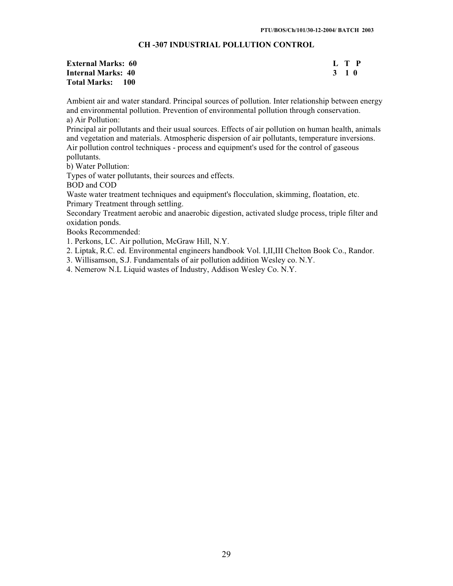# **CH -307 INDUSTRIAL POLLUTION CONTROL**

| <b>External Marks: 60</b> | L T P |  |
|---------------------------|-------|--|
| Internal Marks: 40        | 3 1 0 |  |
| <b>Total Marks: 100</b>   |       |  |

Ambient air and water standard. Principal sources of pollution. Inter relationship between energy and environmental pollution. Prevention of environmental pollution through conservation. a) Air Pollution:

Principal air pollutants and their usual sources. Effects of air pollution on human health, animals and vegetation and materials. Atmospheric dispersion of air pollutants, temperature inversions. Air pollution control techniques - process and equipment's used for the control of gaseous pollutants.

b) Water Pollution:

Types of water pollutants, their sources and effects.

BOD and COD

Waste water treatment techniques and equipment's flocculation, skimming, floatation, etc. Primary Treatment through settling.

Secondary Treatment aerobic and anaerobic digestion, activated sludge process, triple filter and oxidation ponds.

Books Recommended:

1. Perkons, LC. Air pollution, McGraw Hill, N.Y.

2. Liptak, R.C. ed. Environmental engineers handbook Vol. I,II,III Chelton Book Co., Randor.

3. Willisamson, S.J. Fundamentals of air pollution addition Wesley co. N.Y.

4. Nemerow N.L Liquid wastes of Industry, Addison Wesley Co. N.Y.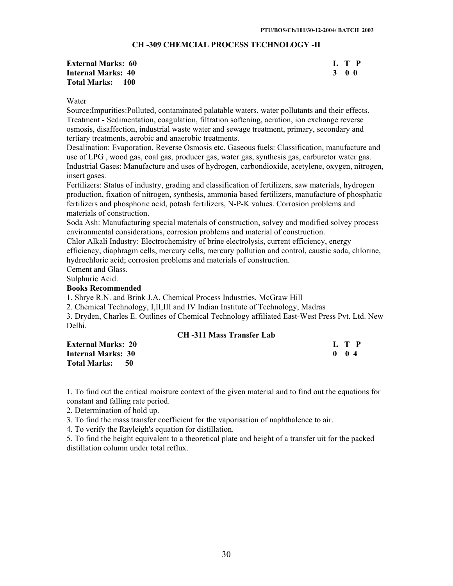# **CH -309 CHEMCIAL PROCESS TECHNOLOGY -II**

| <b>External Marks: 60</b> |       | L T P |
|---------------------------|-------|-------|
| Internal Marks: 40        | 3 O O |       |
| <b>Total Marks: 100</b>   |       |       |

#### Water

Source:Impurities:Polluted, contaminated palatable waters, water pollutants and their effects. Treatment - Sedimentation, coagulation, filtration softening, aeration, ion exchange reverse osmosis, disaffection, industrial waste water and sewage treatment, primary, secondary and tertiary treatments, aerobic and anaerobic treatments.

Desalination: Evaporation, Reverse Osmosis etc. Gaseous fuels: Classification, manufacture and use of LPG , wood gas, coal gas, producer gas, water gas, synthesis gas, carburetor water gas. Industrial Gases: Manufacture and uses of hydrogen, carbondioxide, acetylene, oxygen, nitrogen, insert gases.

Fertilizers: Status of industry, grading and classification of fertilizers, saw materials, hydrogen production, fixation of nitrogen, synthesis, ammonia based fertilizers, manufacture of phosphatic fertilizers and phosphoric acid, potash fertilizers, N-P-K values. Corrosion problems and materials of construction.

Soda Ash: Manufacturing special materials of construction, solvey and modified solvey process environmental considerations, corrosion problems and material of construction.

Chlor Alkali Industry: Electrochemistry of brine electrolysis, current efficiency, energy efficiency, diaphragm cells, mercury cells, mercury pollution and control, caustic soda, chlorine, hydrochloric acid; corrosion problems and materials of construction.

Cement and Glass.

Sulphuric Acid.

#### **Books Recommended**

1. Shrye R.N. and Brink J.A. Chemical Process Industries, McGraw Hill

2. Chemical Technology, I,II,III and IV Indian Institute of Technology, Madras

3. Dryden, Charles E. Outlines of Chemical Technology affiliated East-West Press Pvt. Ltd. New Delhi.

# **CH -311 Mass Transfer Lab**

| <b>External Marks: 20</b> | L T P         |
|---------------------------|---------------|
| <b>Internal Marks: 30</b> | $0 \t 0 \t 4$ |
| Total Marks: 50           |               |

1. To find out the critical moisture context of the given material and to find out the equations for constant and falling rate period.

2. Determination of hold up.

3. To find the mass transfer coefficient for the vaporisation of naphthalence to air.

4. To verify the Rayleigh's equation for distillation.

5. To find the height equivalent to a theoretical plate and height of a transfer uit for the packed distillation column under total reflux.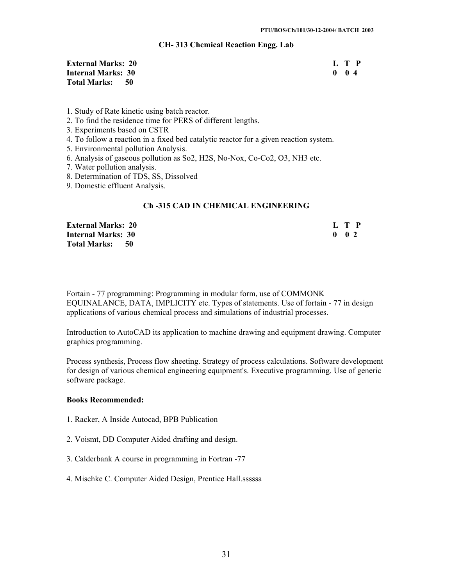# **CH- 313 Chemical Reaction Engg. Lab**

| <b>External Marks: 20</b> | L T P        |  |
|---------------------------|--------------|--|
| Internal Marks: 30        | $0 \quad 04$ |  |
| Total Marks: 50           |              |  |

- 1. Study of Rate kinetic using batch reactor.
- 2. To find the residence time for PERS of different lengths.
- 3. Experiments based on CSTR
- 4. To follow a reaction in a fixed bed catalytic reactor for a given reaction system.
- 5. Environmental pollution Analysis.
- 6. Analysis of gaseous pollution as So2, H2S, No-Nox, Co-Co2, O3, NH3 etc.
- 7. Water pollution analysis.
- 8. Determination of TDS, SS, Dissolved
- 9. Domestic effluent Analysis.

# **Ch -315 CAD IN CHEMICAL ENGINEERING**

| <b>External Marks: 20</b> | L T P               |  |
|---------------------------|---------------------|--|
| <b>Internal Marks: 30</b> | $0 \quad 0 \quad 2$ |  |
| Total Marks: 50           |                     |  |

Fortain - 77 programming: Programming in modular form, use of COMMONK EQUINALANCE, DATA, IMPLICITY etc. Types of statements. Use of fortain - 77 in design applications of various chemical process and simulations of industrial processes.

Introduction to AutoCAD its application to machine drawing and equipment drawing. Computer graphics programming.

Process synthesis, Process flow sheeting. Strategy of process calculations. Software development for design of various chemical engineering equipment's. Executive programming. Use of generic software package.

#### **Books Recommended:**

- 1. Racker, A Inside Autocad, BPB Publication
- 2. Voismt, DD Computer Aided drafting and design.
- 3. Calderbank A course in programming in Fortran -77
- 4. Mischke C. Computer Aided Design, Prentice Hall.sssssa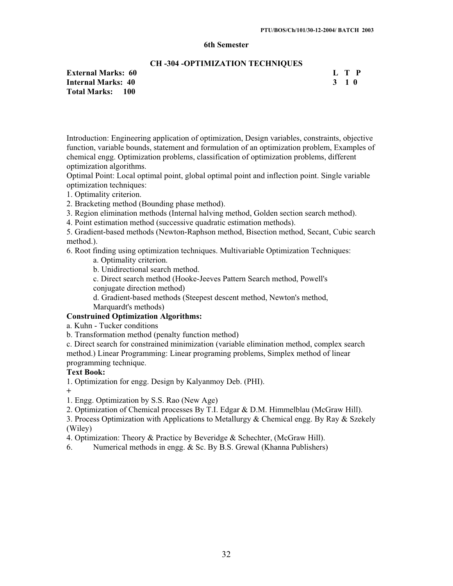#### **6th Semester**

#### **CH -304 -OPTIMIZATION TECHNIQUES**

**External Marks: 60 L T P**<br> **Internal Marks: 40** 2 2 2 3 2 1 0 **Internal Marks: 40 Total Marks: 100** 

Introduction: Engineering application of optimization, Design variables, constraints, objective function, variable bounds, statement and formulation of an optimization problem, Examples of chemical engg. Optimization problems, classification of optimization problems, different optimization algorithms.

Optimal Point: Local optimal point, global optimal point and inflection point. Single variable optimization techniques:

1. Optimality criterion.

2. Bracketing method (Bounding phase method).

3. Region elimination methods (Internal halving method, Golden section search method).

4. Point estimation method (successive quadratic estimation methods).

5. Gradient-based methods (Newton-Raphson method, Bisection method, Secant, Cubic search method.).

6. Root finding using optimization techniques. Multivariable Optimization Techniques:

a. Optimality criterion.

b. Unidirectional search method.

c. Direct search method (Hooke-Jeeves Pattern Search method, Powell's conjugate direction method)

d. Gradient-based methods (Steepest descent method, Newton's method, Marquardt's methods)

# **Construined Optimization Algorithms:**

a. Kuhn - Tucker conditions

b. Transformation method (penalty function method)

c. Direct search for constrained minimization (variable elimination method, complex search method.) Linear Programming: Linear programing problems, Simplex method of linear programming technique.

# **Text Book:**

1. Optimization for engg. Design by Kalyanmoy Deb. (PHI).

**+**

1. Engg. Optimization by S.S. Rao (New Age)

2. Optimization of Chemical processes By T.I. Edgar & D.M. Himmelblau (McGraw Hill).

3. Process Optimization with Applications to Metallurgy & Chemical engg. By Ray & Szekely (Wiley)

4. Optimization: Theory & Practice by Beveridge & Schechter, (McGraw Hill).

6. Numerical methods in engg. & Sc. By B.S. Grewal (Khanna Publishers)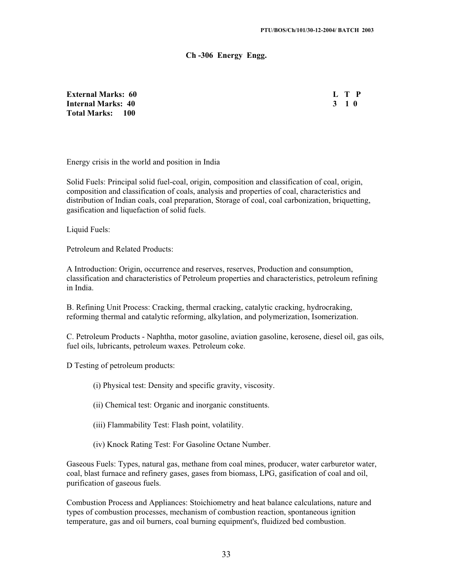#### **Ch -306 Energy Engg.**

**External Marks: 60 L T P Internal Marks: 40 3 1 0 Total Marks: 100** 

Energy crisis in the world and position in India

Solid Fuels: Principal solid fuel-coal, origin, composition and classification of coal, origin, composition and classification of coals, analysis and properties of coal, characteristics and distribution of Indian coals, coal preparation, Storage of coal, coal carbonization, briquetting, gasification and liquefaction of solid fuels.

Liquid Fuels:

Petroleum and Related Products:

A Introduction: Origin, occurrence and reserves, reserves, Production and consumption, classification and characteristics of Petroleum properties and characteristics, petroleum refining in India.

B. Refining Unit Process: Cracking, thermal cracking, catalytic cracking, hydrocraking, reforming thermal and catalytic reforming, alkylation, and polymerization, Isomerization.

C. Petroleum Products - Naphtha, motor gasoline, aviation gasoline, kerosene, diesel oil, gas oils, fuel oils, lubricants, petroleum waxes. Petroleum coke.

D Testing of petroleum products:

- (i) Physical test: Density and specific gravity, viscosity.
- (ii) Chemical test: Organic and inorganic constituents.
- (iii) Flammability Test: Flash point, volatility.
- (iv) Knock Rating Test: For Gasoline Octane Number.

Gaseous Fuels: Types, natural gas, methane from coal mines, producer, water carburetor water, coal, blast furnace and refinery gases, gases from biomass, LPG, gasification of coal and oil, purification of gaseous fuels.

Combustion Process and Appliances: Stoichiometry and heat balance calculations, nature and types of combustion processes, mechanism of combustion reaction, spontaneous ignition temperature, gas and oil burners, coal burning equipment's, fluidized bed combustion.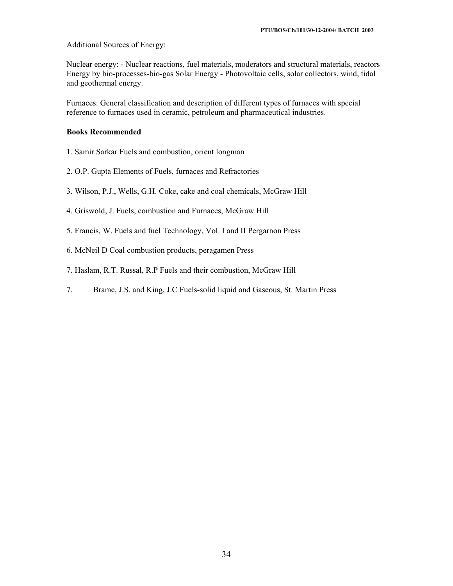Additional Sources of Energy:

Nuclear energy: - Nuclear reactions, fuel materials, moderators and structural materials, reactors Energy by bio-processes-bio-gas Solar Energy - Photovoltaic cells, solar collectors, wind, tidal and geothermal energy.

Furnaces: General classification and description of different types of furnaces with special reference to furnaces used in ceramic, petroleum and pharmaceutical industries.

#### **Books Recommended**

- 1. Samir Sarkar Fuels and combustion, orient longman
- 2. O.P. Gupta Elements of Fuels, furnaces and Refractories
- 3. Wilson, P.J., Wells, G.H. Coke, cake and coal chemicals, McGraw Hill
- 4. Griswold, J. Fuels, combustion and Furnaces, McGraw Hill
- 5. Francis, W. Fuels and fuel Technology, Vol. I and II Pergarnon Press
- 6. McNeil D Coal combustion products, peragamen Press
- 7. Haslam, R.T. Russal, R.P Fuels and their combustion, McGraw Hill
- 7. Brame, J.S. and King, J.C Fuels-solid liquid and Gaseous, St. Martin Press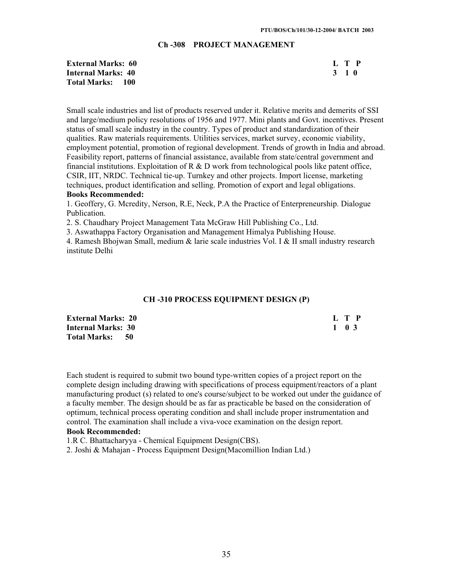#### **Ch -308 PROJECT MANAGEMENT**

| <b>External Marks: 60</b> | L T P |
|---------------------------|-------|
| <b>Internal Marks: 40</b> | 3 1 0 |
| Total Marks: 100          |       |

Small scale industries and list of products reserved under it. Relative merits and demerits of SSI and large/medium policy resolutions of 1956 and 1977. Mini plants and Govt. incentives. Present status of small scale industry in the country. Types of product and standardization of their qualities. Raw materials requirements. Utilities services, market survey, economic viability, employment potential, promotion of regional development. Trends of growth in India and abroad. Feasibility report, patterns of financial assistance, available from state/central government and financial institutions. Exploitation of  $R \& D$  work from technological pools like patent office, CSIR, IIT, NRDC. Technical tie-up. Turnkey and other projects. Import license, marketing techniques, product identification and selling. Promotion of export and legal obligations. **Books Recommended:** 

1. Geoffery, G. Mcredity, Nerson, R.E, Neck, P.A the Practice of Enterpreneurship. Dialogue Publication.

2. S. Chaudhary Project Management Tata McGraw Hill Publishing Co., Ltd.

3. Aswathappa Factory Organisation and Management Himalya Publishing House.

4. Ramesh Bhojwan Small, medium & larie scale industries Vol. I & II small industry research institute Delhi

#### **CH -310 PROCESS EQUIPMENT DESIGN (P)**

| <b>External Marks: 20</b> | L T P |
|---------------------------|-------|
| <b>Internal Marks: 30</b> | 1 0 3 |
| Total Marks: 50           |       |

Each student is required to submit two bound type-written copies of a project report on the complete design including drawing with specifications of process equipment/reactors of a plant manufacturing product (s) related to one's course/subject to be worked out under the guidance of a faculty member. The design should be as far as practicable be based on the consideration of optimum, technical process operating condition and shall include proper instrumentation and control. The examination shall include a viva-voce examination on the design report.

#### **Book Recommended:**

1.R C. Bhattacharyya - Chemical Equipment Design(CBS).

2. Joshi & Mahajan - Process Equipment Design(Macomillion Indian Ltd.)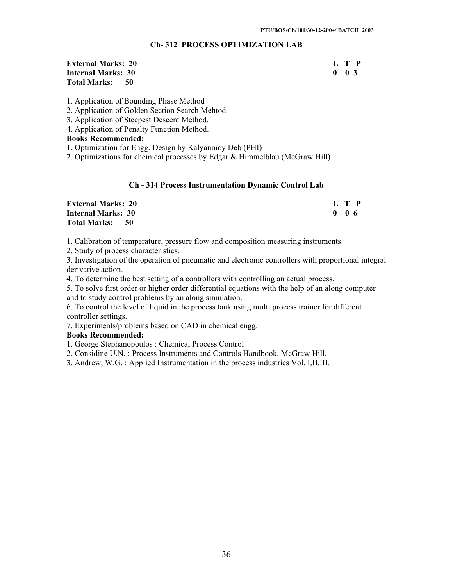# **Ch- 312 PROCESS OPTIMIZATION LAB**

**External Marks: 20 L T P Internal Marks: 30 0 0 3**  0 0 3 **Total Marks: 50** 

1. Application of Bounding Phase Method

2. Application of Golden Section Search Mehtod

3. Application of Steepest Descent Method.

4. Application of Penalty Function Method.

**Books Recommended:** 

1. Optimization for Engg. Design by Kalyanmoy Deb (PHI)

2. Optimizations for chemical processes by Edgar & Himmelblau (McGraw Hill)

# **Ch - 314 Process Instrumentation Dynamic Control Lab**

| <b>External Marks: 20</b> | L T P            |
|---------------------------|------------------|
| <b>Internal Marks: 30</b> | 0 <sub>0</sub> 6 |
| Total Marks: 50           |                  |

1. Calibration of temperature, pressure flow and composition measuring instruments.

2. Study of process characteristics.

3. Investigation of the operation of pneumatic and electronic controllers with proportional integral derivative action.

4. To determine the best setting of a controllers with controlling an actual process.

5. To solve first order or higher order differential equations with the help of an along computer and to study control problems by an along simulation.

6. To control the level of liquid in the process tank using multi process trainer for different controller settings.

7. Experiments/problems based on CAD in chemical engg.

#### **Books Recommended:**

1. George Stephanopoulos : Chemical Process Control

2. Considine U.N. : Process Instruments and Controls Handbook, McGraw Hill.

3. Andrew, W.G. : Applied Instrumentation in the process industries Vol. I,II,III.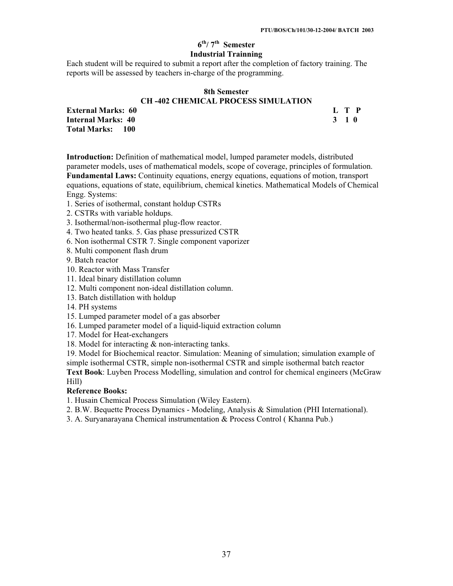# **6th/ 7th Semester Industrial Trainning**

Each student will be required to submit a report after the completion of factory training. The reports will be assessed by teachers in-charge of the programming.

#### **8th Semester CH -402 CHEMICAL PROCESS SIMULATION**

**External Marks: 60 L T P Internal Marks: 40 Total Marks: 100** 

**Introduction:** Definition of mathematical model, lumped parameter models, distributed parameter models, uses of mathematical models, scope of coverage, principles of formulation. **Fundamental Laws:** Continuity equations, energy equations, equations of motion, transport equations, equations of state, equilibrium, chemical kinetics. Mathematical Models of Chemical Engg. Systems:

- 1. Series of isothermal, constant holdup CSTRs
- 2. CSTRs with variable holdups.
- 3. Isothermal/non-isothermal plug-flow reactor.
- 4. Two heated tanks. 5. Gas phase pressurized CSTR
- 6. Non isothermal CSTR 7. Single component vaporizer
- 8. Multi component flash drum

9. Batch reactor

- 10. Reactor with Mass Transfer
- 11. Ideal binary distillation column
- 12. Multi component non-ideal distillation column.
- 13. Batch distillation with holdup
- 14. PH systems
- 15. Lumped parameter model of a gas absorber
- 16. Lumped parameter model of a liquid-liquid extraction column
- 17. Model for Heat-exchangers
- 18. Model for interacting & non-interacting tanks.

19. Model for Biochemical reactor. Simulation: Meaning of simulation; simulation example of simple isothermal CSTR, simple non-isothermal CSTR and simple isothermal batch reactor **Text Book**: Luyben Process Modelling, simulation and control for chemical engineers (McGraw Hill)

# **Reference Books:**

1. Husain Chemical Process Simulation (Wiley Eastern).

- 2. B.W. Bequette Process Dynamics Modeling, Analysis & Simulation (PHI International).
- 3. A. Suryanarayana Chemical instrumentation & Process Control ( Khanna Pub.)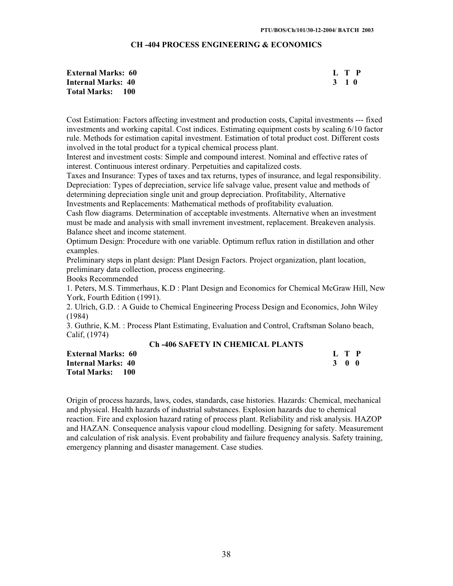# **CH -404 PROCESS ENGINEERING & ECONOMICS**

| <b>External Marks: 60</b> |       | L T P |
|---------------------------|-------|-------|
| <b>Internal Marks: 40</b> | 3 1 O |       |
| <b>Total Marks: 100</b>   |       |       |

Cost Estimation: Factors affecting investment and production costs, Capital investments --- fixed investments and working capital. Cost indices. Estimating equipment costs by scaling 6/10 factor rule. Methods for estimation capital investment. Estimation of total product cost. Different costs involved in the total product for a typical chemical process plant.

Interest and investment costs: Simple and compound interest. Nominal and effective rates of interest. Continuous interest ordinary. Perpetuities and capitalized costs.

Taxes and Insurance: Types of taxes and tax returns, types of insurance, and legal responsibility. Depreciation: Types of depreciation, service life salvage value, present value and methods of determining depreciation single unit and group depreciation. Profitability, Alternative Investments and Replacements: Mathematical methods of profitability evaluation.

Cash flow diagrams. Determination of acceptable investments. Alternative when an investment must be made and analysis with small invrement investment, replacement. Breakeven analysis. Balance sheet and income statement.

Optimum Design: Procedure with one variable. Optimum reflux ration in distillation and other examples.

Preliminary steps in plant design: Plant Design Factors. Project organization, plant location, preliminary data collection, process engineering.

Books Recommended

1. Peters, M.S. Timmerhaus, K.D : Plant Design and Economics for Chemical McGraw Hill, New York, Fourth Edition (1991).

2. Ulrich, G.D. : A Guide to Chemical Engineering Process Design and Economics, John Wiley (1984)

3. Guthrie, K.M. : Process Plant Estimating, Evaluation and Control, Craftsman Solano beach, Calif, (1974)

#### **Ch -406 SAFETY IN CHEMICAL PLANTS**

**External Marks: 60 Internal Marks: 40 Total Marks: 100** 

|  | L T P               |  |
|--|---------------------|--|
|  | $3 \quad 0 \quad 0$ |  |

Origin of process hazards, laws, codes, standards, case histories. Hazards: Chemical, mechanical and physical. Health hazards of industrial substances. Explosion hazards due to chemical reaction. Fire and explosion hazard rating of process plant. Reliability and risk analysis. HAZOP and HAZAN. Consequence analysis vapour cloud modelling. Designing for safety. Measurement and calculation of risk analysis. Event probability and failure frequency analysis. Safety training, emergency planning and disaster management. Case studies.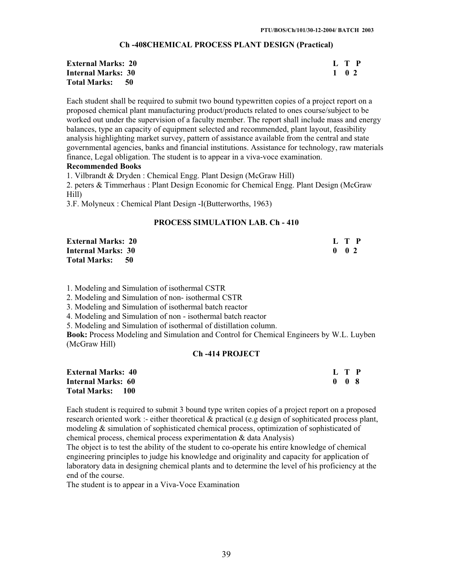#### **Ch -408CHEMICAL PROCESS PLANT DESIGN (Practical)**

| <b>External Marks: 20</b> | L T P |
|---------------------------|-------|
| <b>Internal Marks: 30</b> | 1 0 2 |
| Total Marks: 50           |       |

Each student shall be required to submit two bound typewritten copies of a project report on a proposed chemical plant manufacturing product/products related to ones course/subject to be worked out under the supervision of a faculty member. The report shall include mass and energy balances, type an capacity of equipment selected and recommended, plant layout, feasibility analysis highlighting market survey, pattern of assistance available from the central and state governmental agencies, banks and financial institutions. Assistance for technology, raw materials finance, Legal obligation. The student is to appear in a viva-voce examination.

#### **Recommended Books**

1. Vilbrandt & Dryden : Chemical Engg. Plant Design (McGraw Hill)

2. peters & Timmerhaus : Plant Design Economic for Chemical Engg. Plant Design (McGraw Hill)

3.F. Molyneux : Chemical Plant Design -I(Butterworths, 1963)

#### **PROCESS SIMULATION LAB. Ch - 410**

| <b>External Marks: 20</b> |  | L T P               |  |
|---------------------------|--|---------------------|--|
| <b>Internal Marks: 30</b> |  | $0 \quad 0 \quad 2$ |  |
| Total Marks: 50           |  |                     |  |

1. Modeling and Simulation of isothermal CSTR

2. Modeling and Simulation of non- isothermal CSTR

3. Modeling and Simulation of isothermal batch reactor

4. Modeling and Simulation of non - isothermal batch reactor

5. Modeling and Simulation of isothermal of distillation column.

**Book:** Process Modeling and Simulation and Control for Chemical Engineers by W.L. Luyben (McGraw Hill)

#### **Ch -414 PROJECT**

| <b>External Marks: 40</b> | L T P |  |
|---------------------------|-------|--|
| Internal Marks: 60        | 008   |  |
| <b>Total Marks: 100</b>   |       |  |

Each student is required to submit 3 bound type writen copies of a project report on a proposed research oriented work :- either theoretical & practical (e.g design of sophiticated process plant, modeling & simulation of sophisticated chemical process, optimization of sophisticated of chemical process, chemical process experimentation & data Analysis)

The object is to test the ability of the student to co-operate his entire knowledge of chemical engineering principles to judge his knowledge and originality and capacity for application of laboratory data in designing chemical plants and to determine the level of his proficiency at the end of the course.

The student is to appear in a Viva-Voce Examination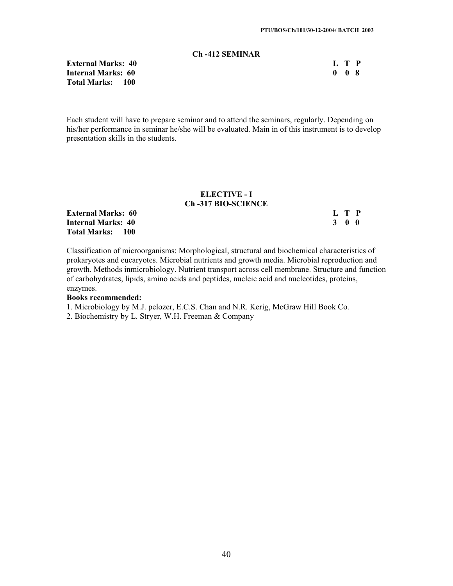# **Ch -412 SEMINAR**

**External Marks: 40 Internal Marks: 60 Total Marks: 100** 

| L |   | P |
|---|---|---|
| 0 | 0 | 8 |

Each student will have to prepare seminar and to attend the seminars, regularly. Depending on his/her performance in seminar he/she will be evaluated. Main in of this instrument is to develop presentation skills in the students.

#### **ELECTIVE - I Ch -317 BIO-SCIENCE**

**External Marks: 60** L T P<br> **Internal Marks: 40** 3 0 0 **Internal Marks: 40 Total Marks: 100** 

Classification of microorganisms: Morphological, structural and biochemical characteristics of prokaryotes and eucaryotes. Microbial nutrients and growth media. Microbial reproduction and growth. Methods inmicrobiology. Nutrient transport across cell membrane. Structure and function of carbohydrates, lipids, amino acids and peptides, nucleic acid and nucleotides, proteins, enzymes.

#### **Books recommended:**

1. Microbiology by M.J. pelozer, E.C.S. Chan and N.R. Kerig, McGraw Hill Book Co.

2. Biochemistry by L. Stryer, W.H. Freeman & Company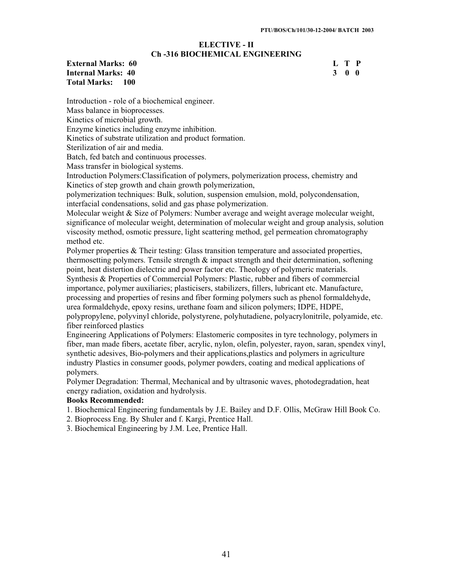#### **ELECTIVE - II Ch -316 BIOCHEMICAL ENGINEERING**

**External Marks: 60 L T P Internal Marks: 40 3 0 0 Total Marks: 100** 

Introduction - role of a biochemical engineer. Mass balance in bioprocesses. Kinetics of microbial growth. Enzyme kinetics including enzyme inhibition. Kinetics of substrate utilization and product formation. Sterilization of air and media. Batch, fed batch and continuous processes. Mass transfer in biological systems. Introduction Polymers:Classification of polymers, polymerization process, chemistry and Kinetics of step growth and chain growth polymerization,

polymerization techniques: Bulk, solution, suspension emulsion, mold, polycondensation, interfacial condensations, solid and gas phase polymerization.

Molecular weight & Size of Polymers: Number average and weight average molecular weight, significance of molecular weight, determination of molecular weight and group analysis, solution viscosity method, osmotic pressure, light scattering method, gel permeation chromatography method etc.

Polymer properties & Their testing: Glass transition temperature and associated properties, thermosetting polymers. Tensile strength  $\&$  impact strength and their determination, softening point, heat distertion dielectric and power factor etc. Theology of polymeric materials.

Synthesis & Properties of Commercial Polymers: Plastic, rubber and fibers of commercial importance, polymer auxiliaries; plasticisers, stabilizers, fillers, lubricant etc. Manufacture, processing and properties of resins and fiber forming polymers such as phenol formaldehyde, urea formaldehyde, epoxy resins, urethane foam and silicon polymers; IDPE, HDPE,

polypropylene, polyvinyl chloride, polystyrene, polyhutadiene, polyacrylonitrile, polyamide, etc. fiber reinforced plastics

Engineering Applications of Polymers: Elastomeric composites in tyre technology, polymers in fiber, man made fibers, acetate fiber, acrylic, nylon, olefin, polyester, rayon, saran, spendex vinyl, synthetic adesives, Bio-polymers and their applications,plastics and polymers in agriculture industry Plastics in consumer goods, polymer powders, coating and medical applications of polymers.

Polymer Degradation: Thermal, Mechanical and by ultrasonic waves, photodegradation, heat energy radiation, oxidation and hydrolysis.

# **Books Recommended:**

1. Biochemical Engineering fundamentals by J.E. Bailey and D.F. Ollis, McGraw Hill Book Co.

2. Bioprocess Eng. By Shuler and f. Kargi, Prentice Hall.

3. Biochemical Engineering by J.M. Lee, Prentice Hall.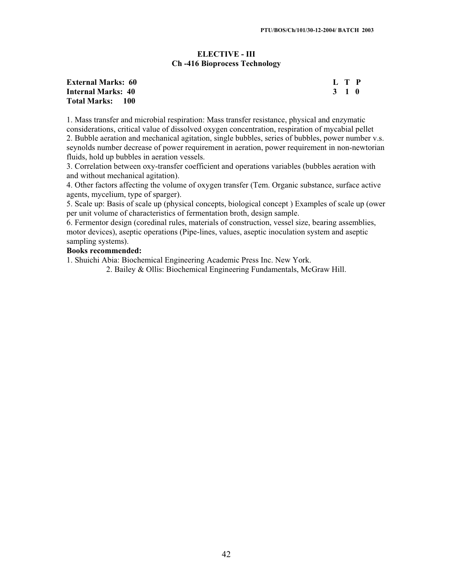# **ELECTIVE - III Ch -416 Bioprocess Technology**

| <b>External Marks: 60</b> |       | L T P |  |
|---------------------------|-------|-------|--|
| Internal Marks: 40        | 3 1 0 |       |  |
| Total Marks: 100          |       |       |  |

1. Mass transfer and microbial respiration: Mass transfer resistance, physical and enzymatic considerations, critical value of dissolved oxygen concentration, respiration of mycabial pellet 2. Bubble aeration and mechanical agitation, single bubbles, series of bubbles, power number v.s. seynolds number decrease of power requirement in aeration, power requirement in non-newtorian fluids, hold up bubbles in aeration vessels.

3. Correlation between oxy-transfer coefficient and operations variables (bubbles aeration with and without mechanical agitation).

4. Other factors affecting the volume of oxygen transfer (Tem. Organic substance, surface active agents, mycelium, type of sparger).

5. Scale up: Basis of scale up (physical concepts, biological concept ) Examples of scale up (ower per unit volume of characteristics of fermentation broth, design sample.

6. Fermentor design (coredinal rules, materials of construction, vessel size, bearing assemblies, motor devices), aseptic operations (Pipe-lines, values, aseptic inoculation system and aseptic sampling systems).

#### **Books recommended:**

1. Shuichi Abia: Biochemical Engineering Academic Press Inc. New York.

2. Bailey & Ollis: Biochemical Engineering Fundamentals, McGraw Hill.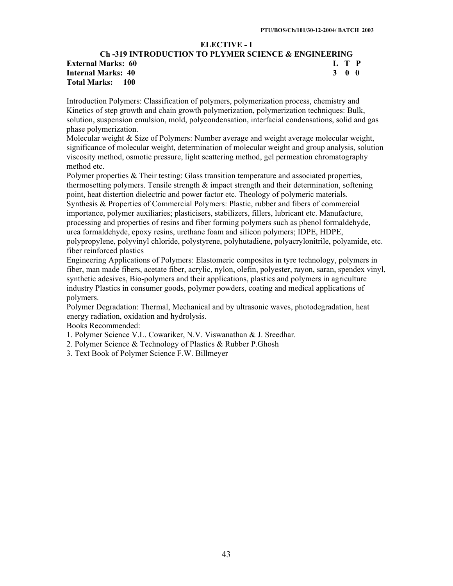# **ELECTIVE - I**

# **Ch -319 INTRODUCTION TO PLYMER SCIENCE & ENGINEERING** External Marks: 60 **L** T P<br>
Internal Marks: 40 3 0 0 **Internal Marks: 40 Total Marks: 100**

Introduction Polymers: Classification of polymers, polymerization process, chemistry and Kinetics of step growth and chain growth polymerization, polymerization techniques: Bulk, solution, suspension emulsion, mold, polycondensation, interfacial condensations, solid and gas phase polymerization.

Molecular weight & Size of Polymers: Number average and weight average molecular weight, significance of molecular weight, determination of molecular weight and group analysis, solution viscosity method, osmotic pressure, light scattering method, gel permeation chromatography method etc.

Polymer properties & Their testing: Glass transition temperature and associated properties, thermosetting polymers. Tensile strength  $\&$  impact strength and their determination, softening point, heat distertion dielectric and power factor etc. Theology of polymeric materials. Synthesis & Properties of Commercial Polymers: Plastic, rubber and fibers of commercial importance, polymer auxiliaries; plasticisers, stabilizers, fillers, lubricant etc. Manufacture, processing and properties of resins and fiber forming polymers such as phenol formaldehyde, urea formaldehyde, epoxy resins, urethane foam and silicon polymers; IDPE, HDPE, polypropylene, polyvinyl chloride, polystyrene, polyhutadiene, polyacrylonitrile, polyamide, etc. fiber reinforced plastics

Engineering Applications of Polymers: Elastomeric composites in tyre technology, polymers in fiber, man made fibers, acetate fiber, acrylic, nylon, olefin, polyester, rayon, saran, spendex vinyl, synthetic adesives, Bio-polymers and their applications, plastics and polymers in agriculture industry Plastics in consumer goods, polymer powders, coating and medical applications of polymers.

Polymer Degradation: Thermal, Mechanical and by ultrasonic waves, photodegradation, heat energy radiation, oxidation and hydrolysis.

Books Recommended:

- 1. Polymer Science V.L. Cowariker, N.V. Viswanathan & J. Sreedhar.
- 2. Polymer Science & Technology of Plastics & Rubber P.Ghosh
- 3. Text Book of Polymer Science F.W. Billmeyer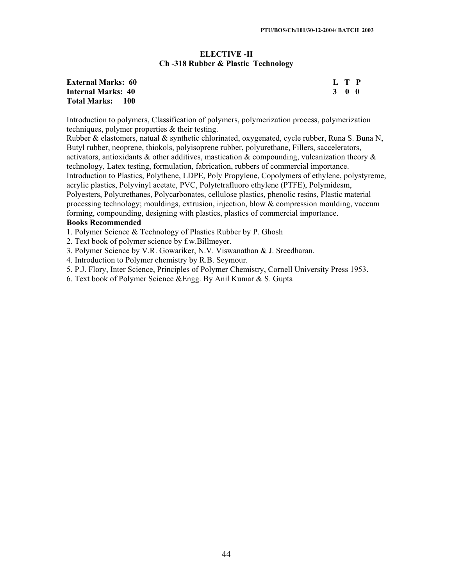# **ELECTIVE -II Ch -318 Rubber & Plastic Technology**

#### **External Marks: 60 Internal Marks: 40 Total Marks: 100**

|  | L T P               |  |
|--|---------------------|--|
|  | $3 \quad 0 \quad 0$ |  |

Introduction to polymers, Classification of polymers, polymerization process, polymerization techniques, polymer properties & their testing.

Rubber & elastomers, natual  $\&$  synthetic chlorinated, oxygenated, cycle rubber, Runa S. Buna N, Butyl rubber, neoprene, thiokols, polyisoprene rubber, polyurethane, Fillers, saccelerators, activators, antioxidants & other additives, mastication & compounding, vulcanization theory  $\&$ technology, Latex testing, formulation, fabrication, rubbers of commercial importance. Introduction to Plastics, Polythene, LDPE, Poly Propylene, Copolymers of ethylene, polystyreme, acrylic plastics, Polyvinyl acetate, PVC, Polytetrafluoro ethylene (PTFE), Polymidesm, Polyesters, Polyurethanes, Polycarbonates, cellulose plastics, phenolic resins, Plastic material processing technology; mouldings, extrusion, injection, blow & compression moulding, vaccum forming, compounding, designing with plastics, plastics of commercial importance.

# **Books Recommended**

1. Polymer Science & Technology of Plastics Rubber by P. Ghosh

2. Text book of polymer science by f.w.Billmeyer.

3. Polymer Science by V.R. Gowariker, N.V. Viswanathan & J. Sreedharan.

4. Introduction to Polymer chemistry by R.B. Seymour.

5. P.J. Flory, Inter Science, Principles of Polymer Chemistry, Cornell University Press 1953.

6. Text book of Polymer Science &Engg. By Anil Kumar & S. Gupta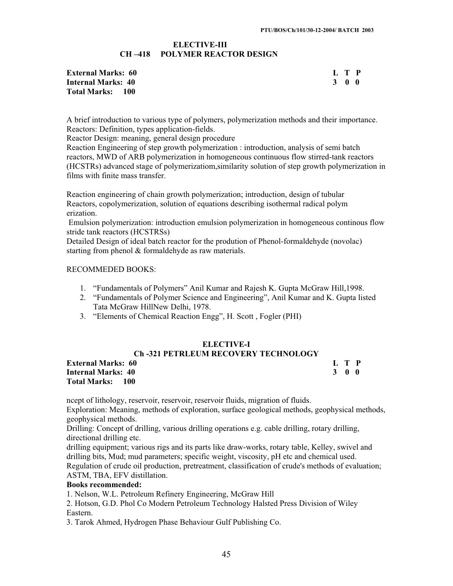#### **ELECTIVE-III CH –418 POLYMER REACTOR DESIGN**

| <b>External Marks: 60</b> |       | L T P |  |
|---------------------------|-------|-------|--|
| Internal Marks: 40        | 3 O O |       |  |
| <b>Total Marks: 100</b>   |       |       |  |

A brief introduction to various type of polymers, polymerization methods and their importance. Reactors: Definition, types application-fields.

Reactor Design: meaning, general design procedure

Reaction Engineering of step growth polymerization : introduction, analysis of semi batch reactors, MWD of ARB polymerization in homogeneous continuous flow stirred-tank reactors (HCSTRs) advanced stage of polymerizatiom,similarity solution of step growth polymerization in films with finite mass transfer.

Reaction engineering of chain growth polymerization; introduction, design of tubular Reactors, copolymerization, solution of equations describing isothermal radical polym erization.

 Emulsion polymerization: introduction emulsion polymerization in homogeneous continous flow stride tank reactors (HCSTRSs)

Detailed Design of ideal batch reactor for the prodution of Phenol-formaldehyde (novolac) starting from phenol & formaldehyde as raw materials.

#### RECOMMEDED BOOKS:

- 1. "Fundamentals of Polymers" Anil Kumar and Rajesh K. Gupta McGraw Hill,1998.
- 2. "Fundamentals of Polymer Science and Engineering", Anil Kumar and K. Gupta listed Tata McGraw HillNew Delhi, 1978.
- 3. "Elements of Chemical Reaction Engg", H. Scott , Fogler (PHI)

#### **ELECTIVE-I**

# **Ch -321 PETRLEUM RECOVERY TECHNOLOGY**

**External Marks: 60 L T P Internal Marks: 40 3 0 0 Total Marks: 100** 

ncept of lithology, reservoir, reservoir, reservoir fluids, migration of fluids.

Exploration: Meaning, methods of exploration, surface geological methods, geophysical methods, geophysical methods.

Drilling: Concept of drilling, various drilling operations e.g. cable drilling, rotary drilling, directional drilling etc.

drilling equipment; various rigs and its parts like draw-works, rotary table, Kelley, swivel and drilling bits, Mud; mud parameters; specific weight, viscosity, pH etc and chemical used. Regulation of crude oil production, pretreatment, classification of crude's methods of evaluation; ASTM, TBA, EFV distillation.

# **Books recommended:**

1. Nelson, W.L. Petroleum Refinery Engineering, McGraw Hill

2. Hotson, G.D. Phol Co Modern Petroleum Technology Halsted Press Division of Wiley Eastern.

3. Tarok Ahmed, Hydrogen Phase Behaviour Gulf Publishing Co.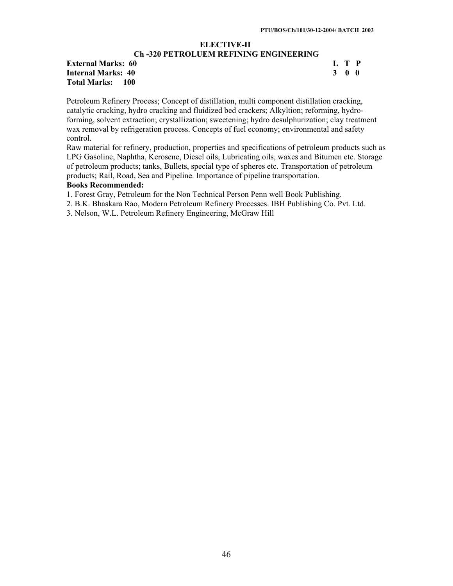#### **ELECTIVE-II Ch -320 PETROLUEM REFINING ENGINEERING**

# **External Marks: 60 L T P Internal Marks: 40 3 0 0 Total Marks: 100**

Petroleum Refinery Process; Concept of distillation, multi component distillation cracking, catalytic cracking, hydro cracking and fluidized bed crackers; Alkyltion; reforming, hydroforming, solvent extraction; crystallization; sweetening; hydro desulphurization; clay treatment wax removal by refrigeration process. Concepts of fuel economy; environmental and safety control.

Raw material for refinery, production, properties and specifications of petroleum products such as LPG Gasoline, Naphtha, Kerosene, Diesel oils, Lubricating oils, waxes and Bitumen etc. Storage of petroleum products; tanks, Bullets, special type of spheres etc. Transportation of petroleum products; Rail, Road, Sea and Pipeline. Importance of pipeline transportation. **Books Recommended:**

1. Forest Gray, Petroleum for the Non Technical Person Penn well Book Publishing.

2. B.K. Bhaskara Rao, Modern Petroleum Refinery Processes. IBH Publishing Co. Pvt. Ltd.

3. Nelson, W.L. Petroleum Refinery Engineering, McGraw Hill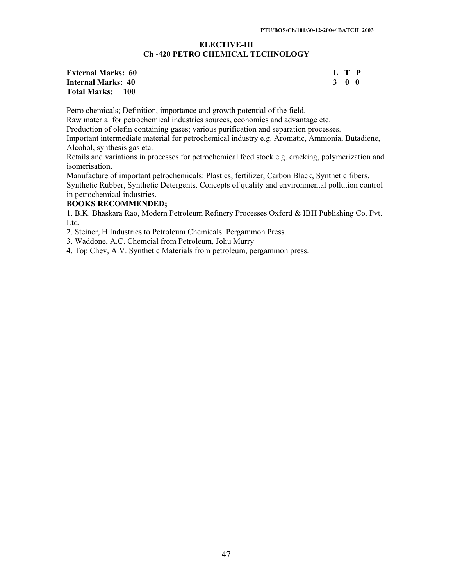#### **ELECTIVE-III Ch -420 PETRO CHEMICAL TECHNOLOGY**

| <b>External Marks: 60</b> | L T P |  |
|---------------------------|-------|--|
| Internal Marks: 40        | 3 O O |  |
| Total Marks: 100          |       |  |

Petro chemicals; Definition, importance and growth potential of the field.

Raw material for petrochemical industries sources, economics and advantage etc.

Production of olefin containing gases; various purification and separation processes.

Important intermediate material for petrochemical industry e.g. Aromatic, Ammonia, Butadiene, Alcohol, synthesis gas etc.

Retails and variations in processes for petrochemical feed stock e.g. cracking, polymerization and isomerisation.

Manufacture of important petrochemicals: Plastics, fertilizer, Carbon Black, Synthetic fibers, Synthetic Rubber, Synthetic Detergents. Concepts of quality and environmental pollution control in petrochemical industries.

# **BOOKS RECOMMENDED;**

1. B.K. Bhaskara Rao, Modern Petroleum Refinery Processes Oxford & IBH Publishing Co. Pvt. Ltd.

2. Steiner, H Industries to Petroleum Chemicals. Pergammon Press.

3. Waddone, A.C. Chemcial from Petroleum, Johu Murry

4. Top Chev, A.V. Synthetic Materials from petroleum, pergammon press.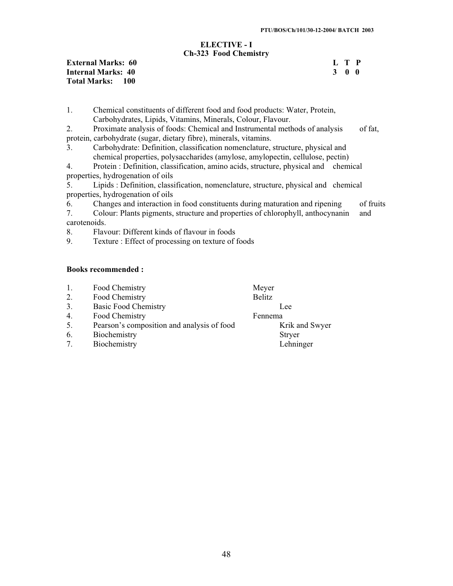#### **ELECTIVE - I Ch-323 Food Chemistry**

**External Marks: 60** L T P<br> **Internal Marks: 40** 3 0 0 **Internal Marks: 40 Total Marks: 100** 

1. Chemical constituents of different food and food products: Water, Protein, Carbohydrates, Lipids, Vitamins, Minerals, Colour, Flavour.

2. Proximate analysis of foods: Chemical and Instrumental methods of analysis of fat, protein, carbohydrate (sugar, dietary fibre), minerals, vitamins.

3. Carbohydrate: Definition, classification nomenclature, structure, physical and chemical properties, polysaccharides (amylose, amylopectin, cellulose, pectin)

4. Protein : Definition, classification, amino acids, structure, physical and chemical properties, hydrogenation of oils

5. Lipids : Definition, classification, nomenclature, structure, physical and chemical properties, hydrogenation of oils

6. Changes and interaction in food constituents during maturation and ripening of fruits

7. Colour: Plants pigments, structure and properties of chlorophyll, anthocynanin and carotenoids.

8. Flavour: Different kinds of flavour in foods<br>9. Texture: Effect of processing on texture of f

Texture : Effect of processing on texture of foods

# **Books recommended :**

|    | Food Chemistry                             | Meyer          |
|----|--------------------------------------------|----------------|
| 2. | Food Chemistry                             | <b>Belitz</b>  |
| 3. | <b>Basic Food Chemistry</b>                | Lee            |
| 4. | Food Chemistry                             | Fennema        |
| 5. | Pearson's composition and analysis of food | Krik and Swyer |
| 6. | Biochemistry                               | <b>Stryer</b>  |
|    | Biochemistry                               | Lehninger      |
|    |                                            |                |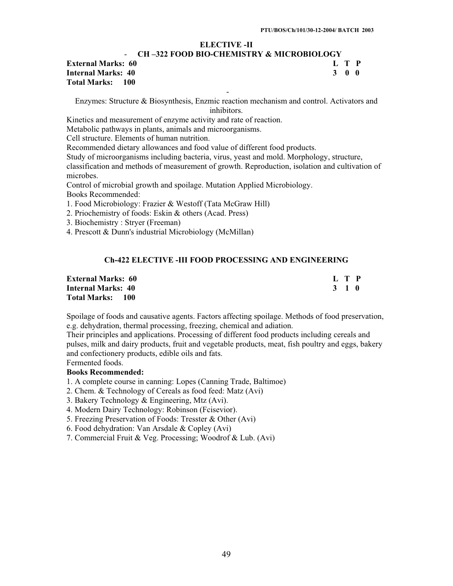# **ELECTIVE -II**

#### - **CH –322 FOOD BIO-CHEMISTRY & MICROBIOLOGY External Marks: 60 L T P**

**Internal Marks: 40 3 0 0 Total Marks: 100** 

- Enzymes: Structure & Biosynthesis, Enzmic reaction mechanism and control. Activators and inhibitors.

Kinetics and measurement of enzyme activity and rate of reaction.

Metabolic pathways in plants, animals and microorganisms.

Cell structure. Elements of human nutrition.

Recommended dietary allowances and food value of different food products.

Study of microorganisms including bacteria, virus, yeast and mold. Morphology, structure, classification and methods of measurement of growth. Reproduction, isolation and cultivation of

microbes.

Control of microbial growth and spoilage. Mutation Applied Microbiology. Books Recommended:

1. Food Microbiology: Frazier & Westoff (Tata McGraw Hill)

- 2. Priochemistry of foods: Eskin & others (Acad. Press)
- 3. Biochemistry : Stryer (Freeman)

4. Prescott & Dunn's industrial Microbiology (McMillan)

# **Ch-422 ELECTIVE -III FOOD PROCESSING AND ENGINEERING**

| <b>External Marks: 60</b> | L T P |
|---------------------------|-------|
| <b>Internal Marks: 40</b> | 3 1 0 |
| Total Marks:<br>-- 100 -  |       |

Spoilage of foods and causative agents. Factors affecting spoilage. Methods of food preservation, e.g. dehydration, thermal processing, freezing, chemical and adiation.

Their principles and applications. Processing of different food products including cereals and pulses, milk and dairy products, fruit and vegetable products, meat, fish poultry and eggs, bakery and confectionery products, edible oils and fats.

Fermented foods.

# **Books Recommended:**

1. A complete course in canning: Lopes (Canning Trade, Baltimoe)

2. Chem. & Technology of Cereals as food feed: Matz (Avi)

3. Bakery Technology & Engineering, Mtz (Avi).

4. Modern Dairy Technology: Robinson (Fcisevior).

5. Freezing Preservation of Foods: Tresster & Other (Avi)

6. Food dehydration: Van Arsdale & Copley (Avi)

7. Commercial Fruit & Veg. Processing; Woodrof & Lub. (Avi)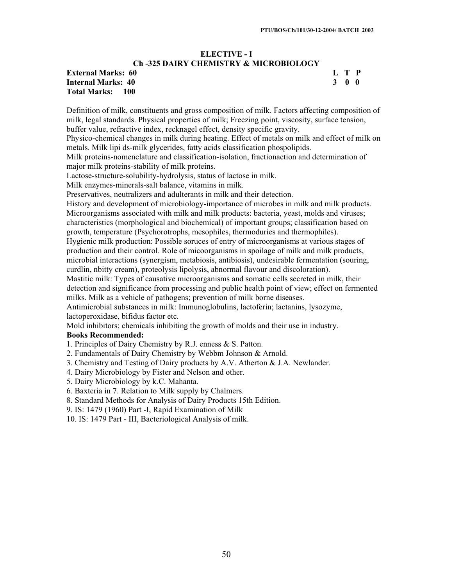#### **ELECTIVE - I Ch -325 DAIRY CHEMISTRY & MICROBIOLOGY**

# **External Marks: 60 L T P Internal Marks: 40 3 0 0 Total Marks: 100**

Definition of milk, constituents and gross composition of milk. Factors affecting composition of milk, legal standards. Physical properties of milk; Freezing point, viscosity, surface tension, buffer value, refractive index, recknagel effect, density specific gravity.

Physico-chemical changes in milk during heating. Effect of metals on milk and effect of milk on metals. Milk lipi ds-milk glycerides, fatty acids classification phospolipids.

Milk proteins-nomenclature and classification-isolation, fractionaction and determination of major milk proteins-stability of milk proteins.

Lactose-structure-solubility-hydrolysis, status of lactose in milk.

Milk enzymes-minerals-salt balance, vitamins in milk.

Preservatives, neutralizers and adulterants in milk and their detection.

History and development of microbiology-importance of microbes in milk and milk products. Microorganisms associated with milk and milk products: bacteria, yeast, molds and viruses; characteristics (morphological and biochemical) of important groups; classification based on growth, temperature (Psychorotrophs, mesophiles, thermoduries and thermophiles).

Hygienic milk production: Possible soruces of entry of microorganisms at various stages of production and their control. Role of micoorganisms in spoilage of milk and milk products, microbial interactions (synergism, metabiosis, antibiosis), undesirable fermentation (souring, curdlin, nbitty cream), proteolysis lipolysis, abnormal flavour and discoloration).

Mastitic milk: Types of causative microorganisms and somatic cells secreted in milk, their detection and significance from processing and public health point of view; effect on fermented milks. Milk as a vehicle of pathogens; prevention of milk borne diseases.

Antimicrobial substances in milk: Immunoglobulins, lactoferin; lactanins, lysozyme, lactoperoxidase, bifidus factor etc.

Mold inhibitors; chemicals inhibiting the growth of molds and their use in industry.

#### **Books Recommended:**

1. Principles of Dairy Chemistry by R.J. enness & S. Patton.

2. Fundamentals of Dairy Chemistry by Webbm Johnson & Arnold.

3. Chemistry and Testing of Dairy products by A.V. Atherton & J.A. Newlander.

4. Dairy Microbiology by Fister and Nelson and other.

- 5. Dairy Microbiology by k.C. Mahanta.
- 6. Baxteria in 7. Relation to Milk supply by Chalmers.
- 8. Standard Methods for Analysis of Dairy Products 15th Edition.

9. IS: 1479 (1960) Part -I, Rapid Examination of Milk

10. IS: 1479 Part - III, Bacteriological Analysis of milk.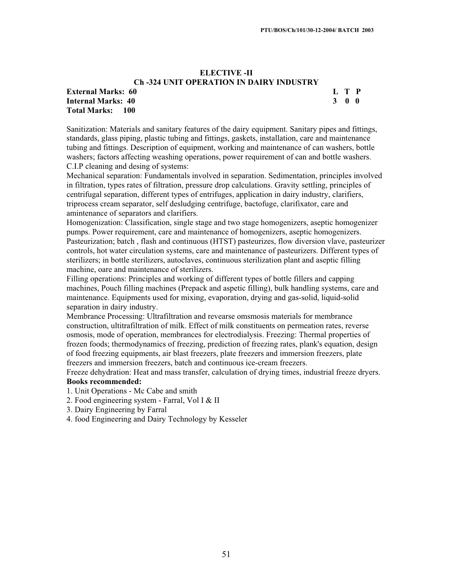# **ELECTIVE -II Ch -324 UNIT OPERATION IN DAIRY INDUSTRY**

#### **External Marks: 60 L T P Internal Marks: 40 3 0 0 Total Marks: 100**

Sanitization: Materials and sanitary features of the dairy equipment. Sanitary pipes and fittings, standards, glass piping, plastic tubing and fittings, gaskets, installation, care and maintenance tubing and fittings. Description of equipment, working and maintenance of can washers, bottle washers; factors affecting weashing operations, power requirement of can and bottle washers. C.I.P cleaning and desing of systems:

Mechanical separation: Fundamentals involved in separation. Sedimentation, principles involved in filtration, types rates of filtration, pressure drop calculations. Gravity settling, principles of centrifugal separation, different types of entrifuges, application in dairy industry, clarifiers, triprocess cream separator, self desludging centrifuge, bactofuge, clarifixator, care and amintenance of separators and clarifiers.

Homogenization: Classification, single stage and two stage homogenizers, aseptic homogenizer pumps. Power requirement, care and maintenance of homogenizers, aseptic homogenizers. Pasteurization; batch , flash and continuous (HTST) pasteurizes, flow diversion vlave, pasteurizer controls, hot water circulation systems, care and maintenance of pasteurizers. Different types of sterilizers; in bottle sterilizers, autoclaves, continuous sterilization plant and aseptic filling machine, oare and maintenance of sterilizers.

Filling operations: Principles and working of different types of bottle fillers and capping machines, Pouch filling machines (Prepack and aspetic filling), bulk handling systems, care and maintenance. Equipments used for mixing, evaporation, drying and gas-solid, liquid-solid separation in dairy industry.

Membrance Processing: Ultrafiltration and revearse omsmosis materials for membrance construction, ultitrafiltration of milk. Effect of milk constituents on permeation rates, reverse osmosis, mode of operation, membrances for electrodialysis. Freezing: Thermal properties of frozen foods; thermodynamics of freezing, prediction of freezing rates, plank's equation, design of food freezing equipments, air blast freezers, plate freezers and immersion freezers, plate freezers and immersion freezers, batch and continuous ice-cream freezers.

Freeze dehydration: Heat and mass transfer, calculation of drying times, industrial freeze dryers. **Books recommended:** 

1. Unit Operations - Mc Cabe and smith

2. Food engineering system - Farral, Vol I & II

- 3. Dairy Engineering by Farral
- 4. food Engineering and Dairy Technology by Kesseler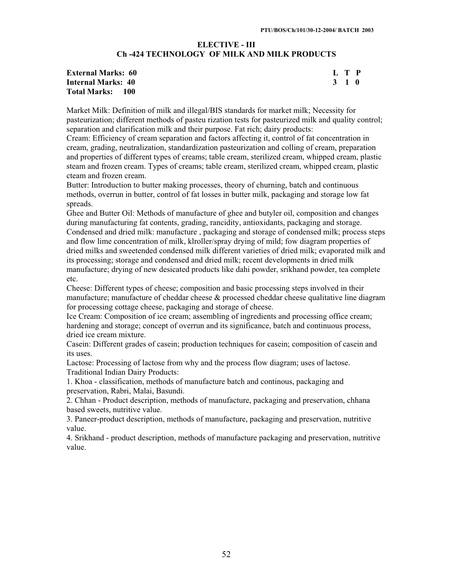# **ELECTIVE - III Ch -424 TECHNOLOGY OF MILK AND MILK PRODUCTS**

| <b>External Marks: 60</b> | L T P |  |
|---------------------------|-------|--|
| Internal Marks: 40        | 3 1 0 |  |
| <b>Total Marks: 100</b>   |       |  |

Market Milk: Definition of milk and illegal/BIS standards for market milk; Necessity for pasteurization; different methods of pasteu rization tests for pasteurized milk and quality control; separation and clarification milk and their purpose. Fat rich; dairy products:

Cream: Efficiency of cream separation and factors affecting it, control of fat concentration in cream, grading, neutralization, standardization pasteurization and colling of cream, preparation and properties of different types of creams; table cream, sterilized cream, whipped cream, plastic steam and frozen cream. Types of creams; table cream, sterilized cream, whipped cream, plastic cteam and frozen cream.

Butter: Introduction to butter making processes, theory of churning, batch and continuous methods, overrun in butter, control of fat losses in butter milk, packaging and storage low fat spreads.

Ghee and Butter Oil: Methods of manufacture of ghee and butyler oil, composition and changes during manufacturing fat contents, grading, rancidity, antioxidants, packaging and storage. Condensed and dried milk: manufacture , packaging and storage of condensed milk; process steps and flow lime concentration of milk, klroller/spray drying of mild; fow diagram properties of dried milks and sweetended condensed milk different varieties of dried milk; evaporated milk and its processing; storage and condensed and dried milk; recent developments in dried milk manufacture; drying of new desicated products like dahi powder, srikhand powder, tea complete etc.

Cheese: Different types of cheese; composition and basic processing steps involved in their manufacture; manufacture of cheddar cheese  $\&$  processed cheddar cheese qualitative line diagram for processing cottage cheese, packaging and storage of cheese.

Ice Cream: Composition of ice cream; assembling of ingredients and processing office cream; hardening and storage; concept of overrun and its significance, batch and continuous process, dried ice cream mixture.

Casein: Different grades of casein; production techniques for casein; composition of casein and its uses.

Lactose: Processing of lactose from why and the process flow diagram; uses of lactose. Traditional Indian Dairy Products:

1. Khoa - classification, methods of manufacture batch and continous, packaging and preservation, Rabri, Malai, Basundi.

2. Chhan - Product description, methods of manufacture, packaging and preservation, chhana based sweets, nutritive value.

3. Paneer-product description, methods of manufacture, packaging and preservation, nutritive value.

4. Srikhand - product description, methods of manufacture packaging and preservation, nutritive value.